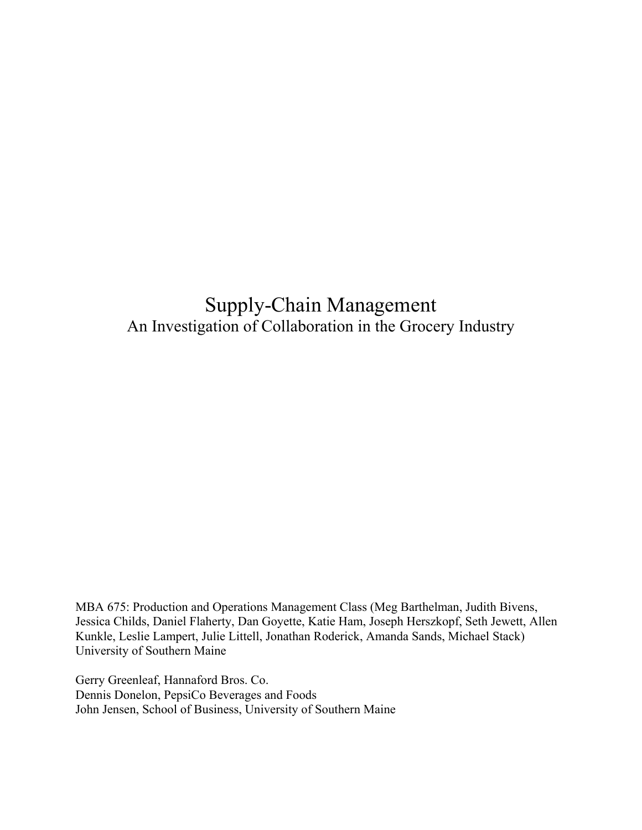# Supply-Chain Management An Investigation of Collaboration in the Grocery Industry

MBA 675: Production and Operations Management Class (Meg Barthelman, Judith Bivens, Jessica Childs, Daniel Flaherty, Dan Goyette, Katie Ham, Joseph Herszkopf, Seth Jewett, Allen Kunkle, Leslie Lampert, Julie Littell, Jonathan Roderick, Amanda Sands, Michael Stack) University of Southern Maine

Gerry Greenleaf, Hannaford Bros. Co. Dennis Donelon, PepsiCo Beverages and Foods John Jensen, School of Business, University of Southern Maine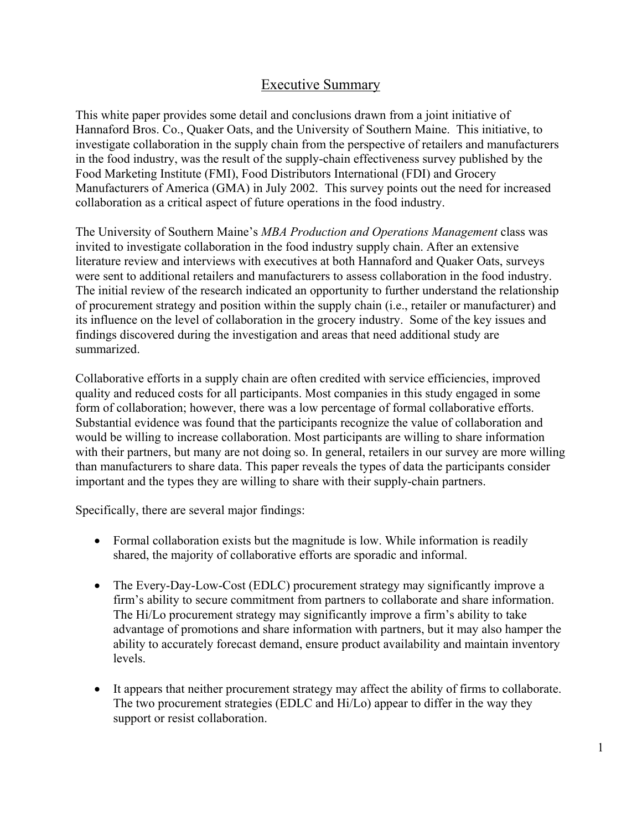# Executive Summary

This white paper provides some detail and conclusions drawn from a joint initiative of Hannaford Bros. Co., Quaker Oats, and the University of Southern Maine. This initiative, to investigate collaboration in the supply chain from the perspective of retailers and manufacturers in the food industry, was the result of the supply-chain effectiveness survey published by the Food Marketing Institute (FMI), Food Distributors International (FDI) and Grocery Manufacturers of America (GMA) in July 2002. This survey points out the need for increased collaboration as a critical aspect of future operations in the food industry.

The University of Southern Maine's *MBA Production and Operations Management* class was invited to investigate collaboration in the food industry supply chain. After an extensive literature review and interviews with executives at both Hannaford and Quaker Oats, surveys were sent to additional retailers and manufacturers to assess collaboration in the food industry. The initial review of the research indicated an opportunity to further understand the relationship of procurement strategy and position within the supply chain (i.e., retailer or manufacturer) and its influence on the level of collaboration in the grocery industry. Some of the key issues and findings discovered during the investigation and areas that need additional study are summarized.

Collaborative efforts in a supply chain are often credited with service efficiencies, improved quality and reduced costs for all participants. Most companies in this study engaged in some form of collaboration; however, there was a low percentage of formal collaborative efforts. Substantial evidence was found that the participants recognize the value of collaboration and would be willing to increase collaboration. Most participants are willing to share information with their partners, but many are not doing so. In general, retailers in our survey are more willing than manufacturers to share data. This paper reveals the types of data the participants consider important and the types they are willing to share with their supply-chain partners.

Specifically, there are several major findings:

- Formal collaboration exists but the magnitude is low. While information is readily shared, the majority of collaborative efforts are sporadic and informal.
- The Every-Day-Low-Cost (EDLC) procurement strategy may significantly improve a firm's ability to secure commitment from partners to collaborate and share information. The Hi/Lo procurement strategy may significantly improve a firm's ability to take advantage of promotions and share information with partners, but it may also hamper the ability to accurately forecast demand, ensure product availability and maintain inventory levels.
- It appears that neither procurement strategy may affect the ability of firms to collaborate. The two procurement strategies (EDLC and Hi/Lo) appear to differ in the way they support or resist collaboration.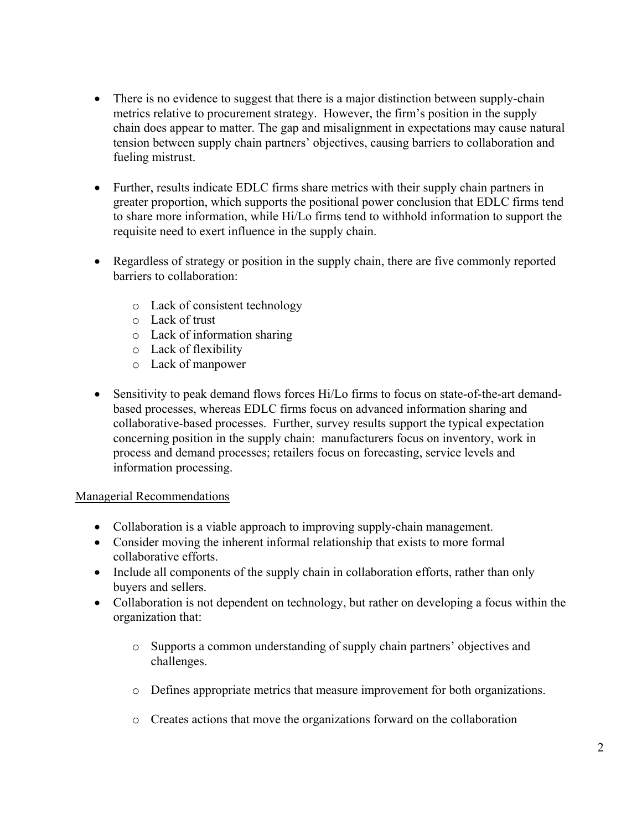- There is no evidence to suggest that there is a major distinction between supply-chain metrics relative to procurement strategy. However, the firm's position in the supply chain does appear to matter. The gap and misalignment in expectations may cause natural tension between supply chain partners' objectives, causing barriers to collaboration and fueling mistrust.
- Further, results indicate EDLC firms share metrics with their supply chain partners in greater proportion, which supports the positional power conclusion that EDLC firms tend to share more information, while Hi/Lo firms tend to withhold information to support the requisite need to exert influence in the supply chain.
- Regardless of strategy or position in the supply chain, there are five commonly reported barriers to collaboration:
	- o Lack of consistent technology
	- o Lack of trust
	- o Lack of information sharing
	- o Lack of flexibility
	- o Lack of manpower
- Sensitivity to peak demand flows forces Hi/Lo firms to focus on state-of-the-art demandbased processes, whereas EDLC firms focus on advanced information sharing and collaborative-based processes. Further, survey results support the typical expectation concerning position in the supply chain: manufacturers focus on inventory, work in process and demand processes; retailers focus on forecasting, service levels and information processing.

### Managerial Recommendations

- Collaboration is a viable approach to improving supply-chain management.
- Consider moving the inherent informal relationship that exists to more formal collaborative efforts.
- Include all components of the supply chain in collaboration efforts, rather than only buyers and sellers.
- Collaboration is not dependent on technology, but rather on developing a focus within the organization that:
	- o Supports a common understanding of supply chain partners' objectives and challenges.
	- o Defines appropriate metrics that measure improvement for both organizations.
	- o Creates actions that move the organizations forward on the collaboration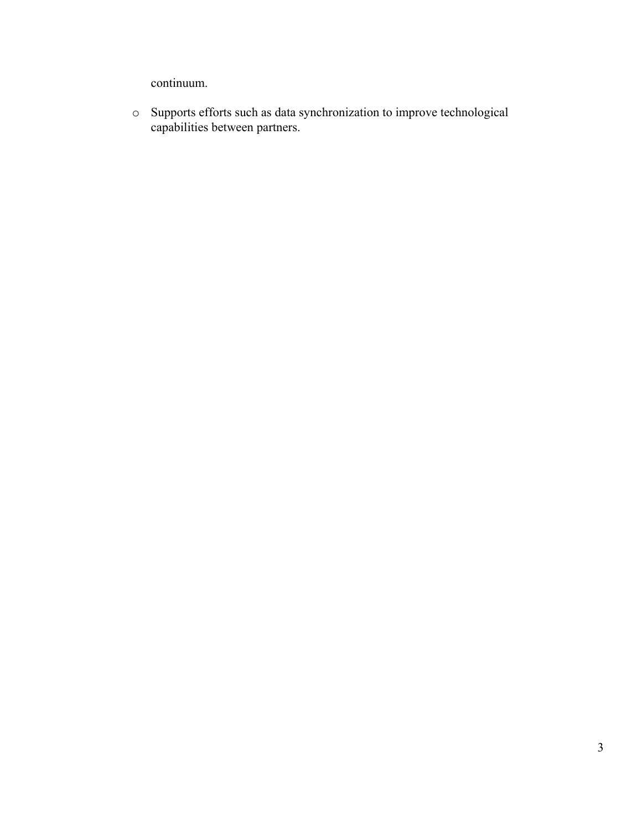continuum.

o Supports efforts such as data synchronization to improve technological capabilities between partners.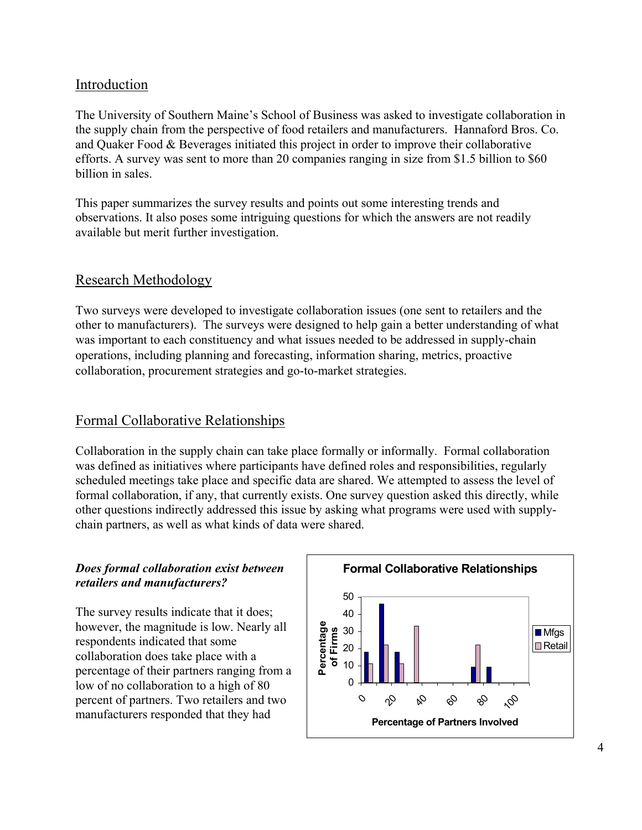### Introduction

The University of Southern Maine's School of Business was asked to investigate collaboration in the supply chain from the perspective of food retailers and manufacturers. Hannaford Bros. Co. and Quaker Food & Beverages initiated this project in order to improve their collaborative efforts. A survey was sent to more than 20 companies ranging in size from \$1.5 billion to \$60 billion in sales.

This paper summarizes the survey results and points out some interesting trends and observations. It also poses some intriguing questions for which the answers are not readily available but merit further investigation.

### Research Methodology

Two surveys were developed to investigate collaboration issues (one sent to retailers and the other to manufacturers). The surveys were designed to help gain a better understanding of what was important to each constituency and what issues needed to be addressed in supply-chain operations, including planning and forecasting, information sharing, metrics, proactive collaboration, procurement strategies and go-to-market strategies.

# Formal Collaborative Relationships

Collaboration in the supply chain can take place formally or informally. Formal collaboration was defined as initiatives where participants have defined roles and responsibilities, regularly scheduled meetings take place and specific data are shared. We attempted to assess the level of formal collaboration, if any, that currently exists. One survey question asked this directly, while other questions indirectly addressed this issue by asking what programs were used with supplychain partners, as well as what kinds of data were shared.

### *Does formal collaboration exist between retailers and manufacturers?*

The survey results indicate that it does; however, the magnitude is low. Nearly all respondents indicated that some collaboration does take place with a percentage of their partners ranging from a low of no collaboration to a high of 80 percent of partners. Two retailers and two manufacturers responded that they had

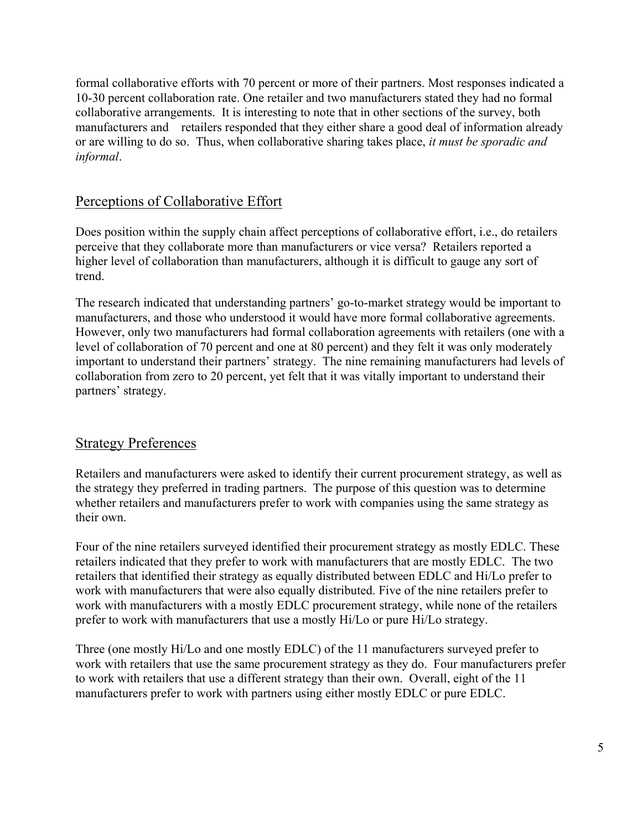formal collaborative efforts with 70 percent or more of their partners. Most responses indicated a 10-30 percent collaboration rate. One retailer and two manufacturers stated they had no formal collaborative arrangements. It is interesting to note that in other sections of the survey, both manufacturers and retailers responded that they either share a good deal of information already or are willing to do so. Thus, when collaborative sharing takes place, *it must be sporadic and informal*.

### Perceptions of Collaborative Effort

Does position within the supply chain affect perceptions of collaborative effort, i.e., do retailers perceive that they collaborate more than manufacturers or vice versa? Retailers reported a higher level of collaboration than manufacturers, although it is difficult to gauge any sort of trend.

The research indicated that understanding partners' go-to-market strategy would be important to manufacturers, and those who understood it would have more formal collaborative agreements. However, only two manufacturers had formal collaboration agreements with retailers (one with a level of collaboration of 70 percent and one at 80 percent) and they felt it was only moderately important to understand their partners' strategy. The nine remaining manufacturers had levels of collaboration from zero to 20 percent, yet felt that it was vitally important to understand their partners' strategy.

# Strategy Preferences

Retailers and manufacturers were asked to identify their current procurement strategy, as well as the strategy they preferred in trading partners. The purpose of this question was to determine whether retailers and manufacturers prefer to work with companies using the same strategy as their own.

Four of the nine retailers surveyed identified their procurement strategy as mostly EDLC. These retailers indicated that they prefer to work with manufacturers that are mostly EDLC. The two retailers that identified their strategy as equally distributed between EDLC and Hi/Lo prefer to work with manufacturers that were also equally distributed. Five of the nine retailers prefer to work with manufacturers with a mostly EDLC procurement strategy, while none of the retailers prefer to work with manufacturers that use a mostly Hi/Lo or pure Hi/Lo strategy.

Three (one mostly Hi/Lo and one mostly EDLC) of the 11 manufacturers surveyed prefer to work with retailers that use the same procurement strategy as they do. Four manufacturers prefer to work with retailers that use a different strategy than their own. Overall, eight of the 11 manufacturers prefer to work with partners using either mostly EDLC or pure EDLC.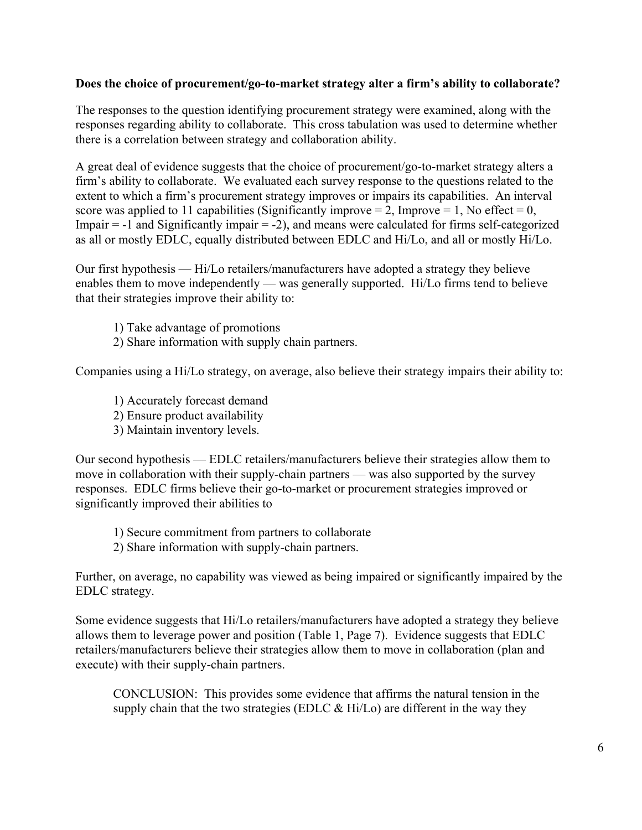### **Does the choice of procurement/go-to-market strategy alter a firm's ability to collaborate?**

The responses to the question identifying procurement strategy were examined, along with the responses regarding ability to collaborate. This cross tabulation was used to determine whether there is a correlation between strategy and collaboration ability.

A great deal of evidence suggests that the choice of procurement/go-to-market strategy alters a firm's ability to collaborate. We evaluated each survey response to the questions related to the extent to which a firm's procurement strategy improves or impairs its capabilities. An interval score was applied to 11 capabilities (Significantly improve  $= 2$ , Improve  $= 1$ , No effect  $= 0$ , Impair  $= -1$  and Significantly impair  $= -2$ ), and means were calculated for firms self-categorized as all or mostly EDLC, equally distributed between EDLC and Hi/Lo, and all or mostly Hi/Lo.

Our first hypothesis — Hi/Lo retailers/manufacturers have adopted a strategy they believe enables them to move independently — was generally supported. Hi/Lo firms tend to believe that their strategies improve their ability to:

- 1) Take advantage of promotions
- 2) Share information with supply chain partners.

Companies using a Hi/Lo strategy, on average, also believe their strategy impairs their ability to:

- 1) Accurately forecast demand
- 2) Ensure product availability
- 3) Maintain inventory levels.

Our second hypothesis — EDLC retailers/manufacturers believe their strategies allow them to move in collaboration with their supply-chain partners — was also supported by the survey responses. EDLC firms believe their go-to-market or procurement strategies improved or significantly improved their abilities to

- 1) Secure commitment from partners to collaborate
- 2) Share information with supply-chain partners.

Further, on average, no capability was viewed as being impaired or significantly impaired by the EDLC strategy.

Some evidence suggests that Hi/Lo retailers/manufacturers have adopted a strategy they believe allows them to leverage power and position (Table 1, Page 7). Evidence suggests that EDLC retailers/manufacturers believe their strategies allow them to move in collaboration (plan and execute) with their supply-chain partners.

CONCLUSION: This provides some evidence that affirms the natural tension in the supply chain that the two strategies (EDLC  $& Hi/Lo$ ) are different in the way they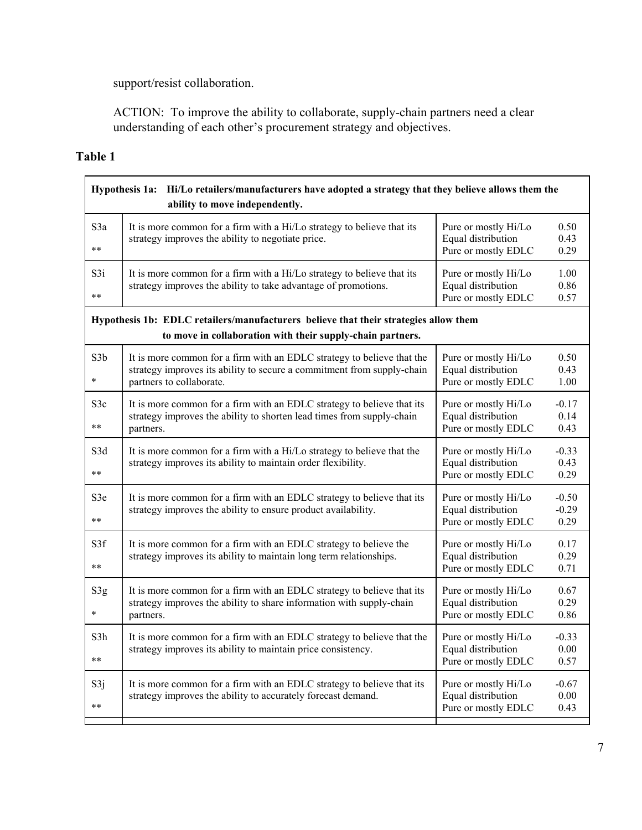support/resist collaboration.

ACTION: To improve the ability to collaborate, supply-chain partners need a clear understanding of each other's procurement strategy and objectives.

# **Table 1**

|                            | Hypothesis 1a: Hi/Lo retailers/manufacturers have adopted a strategy that they believe allows them the<br>ability to move independently.                                     |                                                                   |                            |  |  |
|----------------------------|------------------------------------------------------------------------------------------------------------------------------------------------------------------------------|-------------------------------------------------------------------|----------------------------|--|--|
| S3a<br>$* *$               | It is more common for a firm with a Hi/Lo strategy to believe that its<br>strategy improves the ability to negotiate price.                                                  | Pure or mostly Hi/Lo<br>Equal distribution<br>Pure or mostly EDLC | 0.50<br>0.43<br>0.29       |  |  |
| S3i<br>$\ast\ast$          | It is more common for a firm with a Hi/Lo strategy to believe that its<br>strategy improves the ability to take advantage of promotions.                                     | Pure or mostly Hi/Lo<br>Equal distribution<br>Pure or mostly EDLC | 1.00<br>0.86<br>0.57       |  |  |
|                            | Hypothesis 1b: EDLC retailers/manufacturers believe that their strategies allow them<br>to move in collaboration with their supply-chain partners.                           |                                                                   |                            |  |  |
| S <sub>3</sub> b<br>$\ast$ | It is more common for a firm with an EDLC strategy to believe that the<br>strategy improves its ability to secure a commitment from supply-chain<br>partners to collaborate. | Pure or mostly Hi/Lo<br>Equal distribution<br>Pure or mostly EDLC | 0.50<br>0.43<br>1.00       |  |  |
| S3c<br>$***$               | It is more common for a firm with an EDLC strategy to believe that its<br>strategy improves the ability to shorten lead times from supply-chain<br>partners.                 | Pure or mostly Hi/Lo<br>Equal distribution<br>Pure or mostly EDLC | $-0.17$<br>0.14<br>0.43    |  |  |
| S3d<br>$***$               | It is more common for a firm with a Hi/Lo strategy to believe that the<br>strategy improves its ability to maintain order flexibility.                                       | Pure or mostly Hi/Lo<br>Equal distribution<br>Pure or mostly EDLC | $-0.33$<br>0.43<br>0.29    |  |  |
| S3e<br>$***$               | It is more common for a firm with an EDLC strategy to believe that its<br>strategy improves the ability to ensure product availability.                                      | Pure or mostly Hi/Lo<br>Equal distribution<br>Pure or mostly EDLC | $-0.50$<br>$-0.29$<br>0.29 |  |  |
| S3f<br>$**$                | It is more common for a firm with an EDLC strategy to believe the<br>strategy improves its ability to maintain long term relationships.                                      | Pure or mostly Hi/Lo<br>Equal distribution<br>Pure or mostly EDLC | 0.17<br>0.29<br>0.71       |  |  |
| S3g<br>$\ast$              | It is more common for a firm with an EDLC strategy to believe that its<br>strategy improves the ability to share information with supply-chain<br>partners.                  | Pure or mostly Hi/Lo<br>Equal distribution<br>Pure or mostly EDLC | 0.67<br>0.29<br>0.86       |  |  |
| S3h<br>$***$               | It is more common for a firm with an EDLC strategy to believe that the<br>strategy improves its ability to maintain price consistency.                                       | Pure or mostly Hi/Lo<br>Equal distribution<br>Pure or mostly EDLC | $-0.33$<br>0.00<br>0.57    |  |  |
| S3j<br>$***$               | It is more common for a firm with an EDLC strategy to believe that its<br>strategy improves the ability to accurately forecast demand.                                       | Pure or mostly Hi/Lo<br>Equal distribution<br>Pure or mostly EDLC | $-0.67$<br>0.00<br>0.43    |  |  |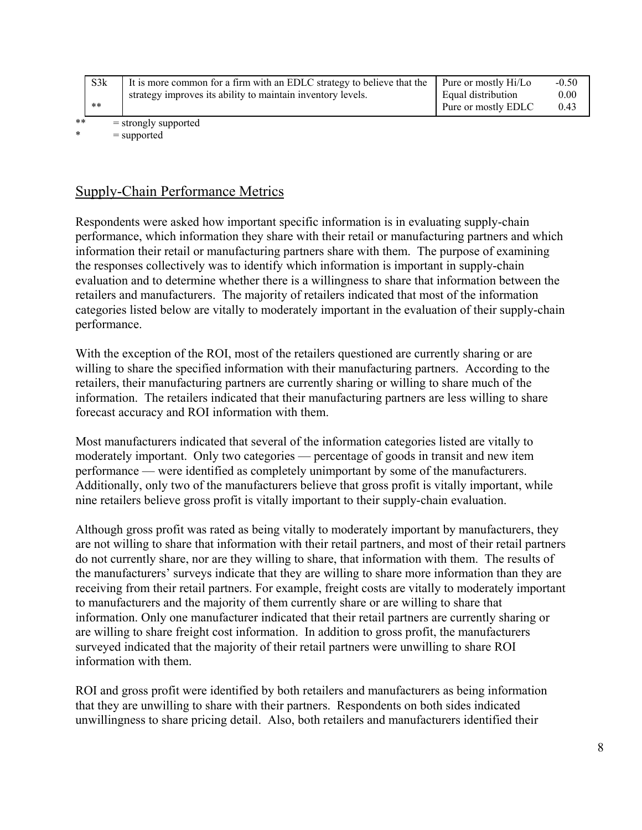|    | S3k<br>$* *$ | It is more common for a firm with an EDLC strategy to believe that the<br>strategy improves its ability to maintain inventory levels. | Pure or mostly Hi/Lo<br>Equal distribution<br>Pure or mostly EDLC | $-0.50$<br>0.00<br>0.43 |
|----|--------------|---------------------------------------------------------------------------------------------------------------------------------------|-------------------------------------------------------------------|-------------------------|
| ** |              | $=$ strongly supported                                                                                                                |                                                                   |                         |

 $*$  = supported

### Supply-Chain Performance Metrics

Respondents were asked how important specific information is in evaluating supply-chain performance, which information they share with their retail or manufacturing partners and which information their retail or manufacturing partners share with them. The purpose of examining the responses collectively was to identify which information is important in supply-chain evaluation and to determine whether there is a willingness to share that information between the retailers and manufacturers. The majority of retailers indicated that most of the information categories listed below are vitally to moderately important in the evaluation of their supply-chain performance.

With the exception of the ROI, most of the retailers questioned are currently sharing or are willing to share the specified information with their manufacturing partners. According to the retailers, their manufacturing partners are currently sharing or willing to share much of the information. The retailers indicated that their manufacturing partners are less willing to share forecast accuracy and ROI information with them.

Most manufacturers indicated that several of the information categories listed are vitally to moderately important. Only two categories — percentage of goods in transit and new item performance — were identified as completely unimportant by some of the manufacturers. Additionally, only two of the manufacturers believe that gross profit is vitally important, while nine retailers believe gross profit is vitally important to their supply-chain evaluation.

Although gross profit was rated as being vitally to moderately important by manufacturers, they are not willing to share that information with their retail partners, and most of their retail partners do not currently share, nor are they willing to share, that information with them. The results of the manufacturers' surveys indicate that they are willing to share more information than they are receiving from their retail partners. For example, freight costs are vitally to moderately important to manufacturers and the majority of them currently share or are willing to share that information. Only one manufacturer indicated that their retail partners are currently sharing or are willing to share freight cost information. In addition to gross profit, the manufacturers surveyed indicated that the majority of their retail partners were unwilling to share ROI information with them.

ROI and gross profit were identified by both retailers and manufacturers as being information that they are unwilling to share with their partners. Respondents on both sides indicated unwillingness to share pricing detail. Also, both retailers and manufacturers identified their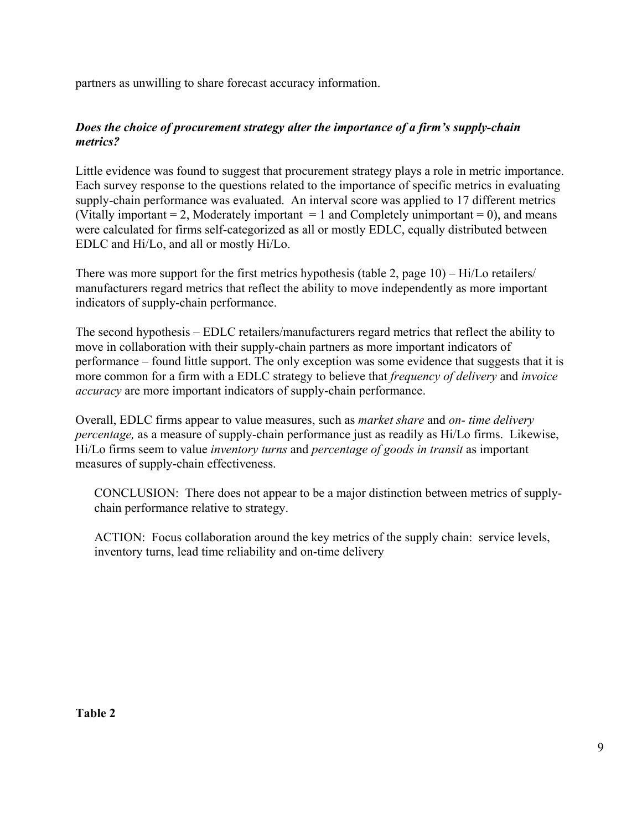partners as unwilling to share forecast accuracy information.

### *Does the choice of procurement strategy alter the importance of a firm's supply-chain metrics?*

Little evidence was found to suggest that procurement strategy plays a role in metric importance. Each survey response to the questions related to the importance of specific metrics in evaluating supply-chain performance was evaluated. An interval score was applied to 17 different metrics (Vitally important  $= 2$ , Moderately important  $= 1$  and Completely unimportant  $= 0$ ), and means were calculated for firms self-categorized as all or mostly EDLC, equally distributed between EDLC and Hi/Lo, and all or mostly Hi/Lo.

There was more support for the first metrics hypothesis (table 2, page 10) – Hi/Lo retailers/ manufacturers regard metrics that reflect the ability to move independently as more important indicators of supply-chain performance.

The second hypothesis – EDLC retailers/manufacturers regard metrics that reflect the ability to move in collaboration with their supply-chain partners as more important indicators of performance – found little support. The only exception was some evidence that suggests that it is more common for a firm with a EDLC strategy to believe that *frequency of delivery* and *invoice accuracy* are more important indicators of supply-chain performance.

Overall, EDLC firms appear to value measures, such as *market share* and *on- time delivery percentage,* as a measure of supply-chain performance just as readily as Hi/Lo firms. Likewise, Hi/Lo firms seem to value *inventory turns* and *percentage of goods in transit* as important measures of supply-chain effectiveness.

CONCLUSION: There does not appear to be a major distinction between metrics of supplychain performance relative to strategy.

ACTION: Focus collaboration around the key metrics of the supply chain: service levels, inventory turns, lead time reliability and on-time delivery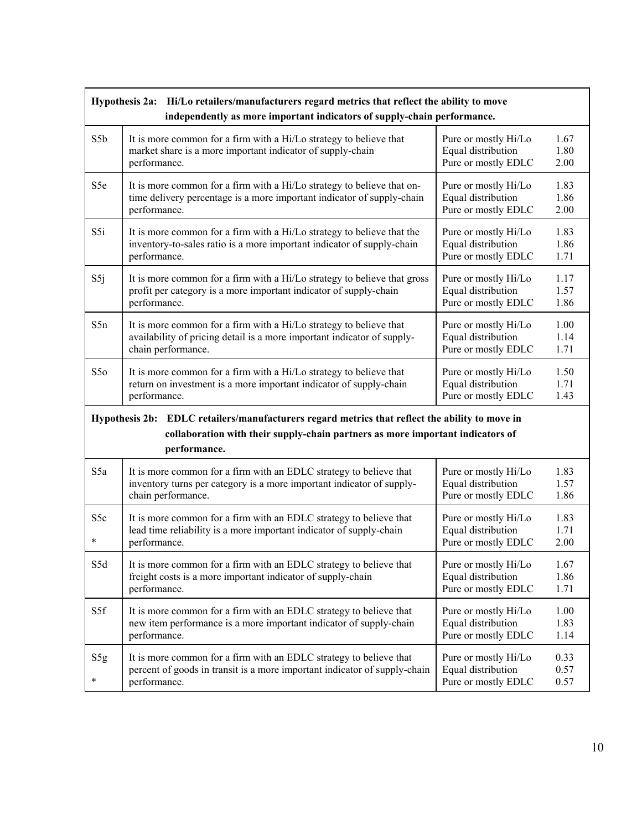|                            | Hypothesis 2a: Hi/Lo retailers/manufacturers regard metrics that reflect the ability to move<br>independently as more important indicators of supply-chain performance.                          |                                                                   |                      |  |  |
|----------------------------|--------------------------------------------------------------------------------------------------------------------------------------------------------------------------------------------------|-------------------------------------------------------------------|----------------------|--|--|
| S5b                        | It is more common for a firm with a Hi/Lo strategy to believe that                                                                                                                               | Pure or mostly Hi/Lo                                              | 1.67                 |  |  |
|                            | market share is a more important indicator of supply-chain                                                                                                                                       | Equal distribution                                                | 1.80                 |  |  |
|                            | performance.                                                                                                                                                                                     | Pure or mostly EDLC                                               | 2.00                 |  |  |
| S5e                        | It is more common for a firm with a Hi/Lo strategy to believe that on-                                                                                                                           | Pure or mostly Hi/Lo                                              | 1.83                 |  |  |
|                            | time delivery percentage is a more important indicator of supply-chain                                                                                                                           | Equal distribution                                                | 1.86                 |  |  |
|                            | performance.                                                                                                                                                                                     | Pure or mostly EDLC                                               | 2.00                 |  |  |
| S5i                        | It is more common for a firm with a Hi/Lo strategy to believe that the                                                                                                                           | Pure or mostly Hi/Lo                                              | 1.83                 |  |  |
|                            | inventory-to-sales ratio is a more important indicator of supply-chain                                                                                                                           | Equal distribution                                                | 1.86                 |  |  |
|                            | performance.                                                                                                                                                                                     | Pure or mostly EDLC                                               | 1.71                 |  |  |
| S5j                        | It is more common for a firm with a Hi/Lo strategy to believe that gross                                                                                                                         | Pure or mostly Hi/Lo                                              | 1.17                 |  |  |
|                            | profit per category is a more important indicator of supply-chain                                                                                                                                | Equal distribution                                                | 1.57                 |  |  |
|                            | performance.                                                                                                                                                                                     | Pure or mostly EDLC                                               | 1.86                 |  |  |
| S5n                        | It is more common for a firm with a Hi/Lo strategy to believe that                                                                                                                               | Pure or mostly Hi/Lo                                              | 1.00                 |  |  |
|                            | availability of pricing detail is a more important indicator of supply-                                                                                                                          | Equal distribution                                                | 1.14                 |  |  |
|                            | chain performance.                                                                                                                                                                               | Pure or mostly EDLC                                               | 1.71                 |  |  |
| S5 <sub>o</sub>            | It is more common for a firm with a Hi/Lo strategy to believe that                                                                                                                               | Pure or mostly Hi/Lo                                              | 1.50                 |  |  |
|                            | return on investment is a more important indicator of supply-chain                                                                                                                               | Equal distribution                                                | 1.71                 |  |  |
|                            | performance.                                                                                                                                                                                     | Pure or mostly EDLC                                               | 1.43                 |  |  |
|                            | Hypothesis 2b: EDLC retailers/manufacturers regard metrics that reflect the ability to move in<br>collaboration with their supply-chain partners as more important indicators of<br>performance. |                                                                   |                      |  |  |
| S <sub>5</sub> a           | It is more common for a firm with an EDLC strategy to believe that                                                                                                                               | Pure or mostly Hi/Lo                                              | 1.83                 |  |  |
|                            | inventory turns per category is a more important indicator of supply-                                                                                                                            | Equal distribution                                                | 1.57                 |  |  |
|                            | chain performance.                                                                                                                                                                               | Pure or mostly EDLC                                               | 1.86                 |  |  |
| S <sub>5</sub> c<br>$\ast$ | It is more common for a firm with an EDLC strategy to believe that<br>lead time reliability is a more important indicator of supply-chain<br>performance.                                        | Pure or mostly Hi/Lo<br>Equal distribution<br>Pure or mostly EDLC | 1.83<br>1.71<br>2.00 |  |  |
| S5d                        | It is more common for a firm with an EDLC strategy to believe that                                                                                                                               | Pure or mostly Hi/Lo                                              | 1.67                 |  |  |
|                            | freight costs is a more important indicator of supply-chain                                                                                                                                      | Equal distribution                                                | 1.86                 |  |  |
|                            | performance.                                                                                                                                                                                     | Pure or mostly EDLC                                               | 1.71                 |  |  |
| S5f                        | It is more common for a firm with an EDLC strategy to believe that                                                                                                                               | Pure or mostly Hi/Lo                                              | 1.00                 |  |  |
|                            | new item performance is a more important indicator of supply-chain                                                                                                                               | Equal distribution                                                | 1.83                 |  |  |
|                            | performance.                                                                                                                                                                                     | Pure or mostly EDLC                                               | 1.14                 |  |  |
| S5g<br>$\ast$              | It is more common for a firm with an EDLC strategy to believe that<br>percent of goods in transit is a more important indicator of supply-chain<br>performance.                                  | Pure or mostly Hi/Lo<br>Equal distribution<br>Pure or mostly EDLC | 0.33<br>0.57<br>0.57 |  |  |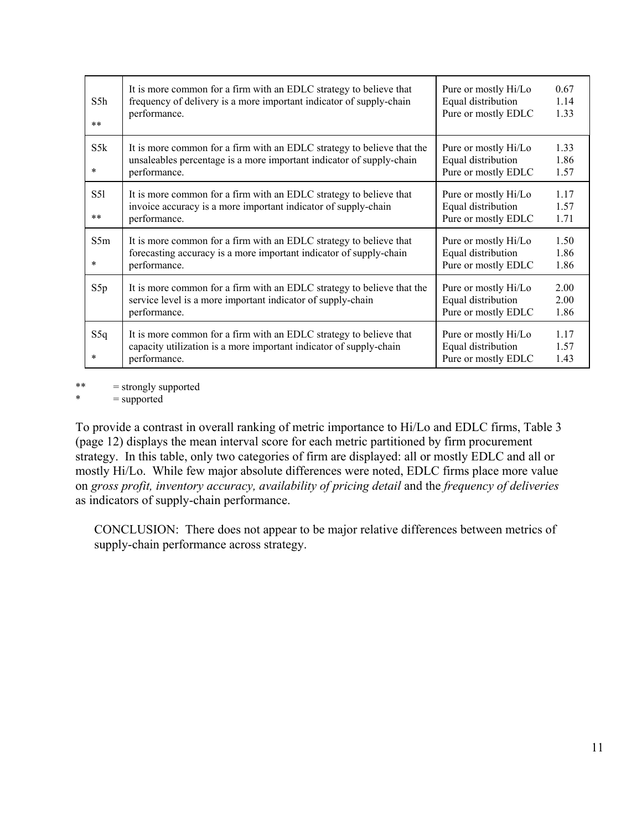| S5h<br>$**$   | It is more common for a firm with an EDLC strategy to believe that<br>frequency of delivery is a more important indicator of supply-chain<br>performance.      | Pure or mostly Hi/Lo<br>Equal distribution<br>Pure or mostly EDLC | 0.67<br>1.14<br>1.33 |
|---------------|----------------------------------------------------------------------------------------------------------------------------------------------------------------|-------------------------------------------------------------------|----------------------|
| S5k<br>*      | It is more common for a firm with an EDLC strategy to believe that the<br>unsaleables percentage is a more important indicator of supply-chain<br>performance. | Pure or mostly Hi/Lo<br>Equal distribution<br>Pure or mostly EDLC | 1.33<br>1.86<br>1.57 |
| S51<br>**     | It is more common for a firm with an EDLC strategy to believe that<br>invoice accuracy is a more important indicator of supply-chain<br>performance.           | Pure or mostly Hi/Lo<br>Equal distribution<br>Pure or mostly EDLC | 1.17<br>1.57<br>1.71 |
| S5m<br>$\ast$ | It is more common for a firm with an EDLC strategy to believe that<br>forecasting accuracy is a more important indicator of supply-chain<br>performance.       | Pure or mostly Hi/Lo<br>Equal distribution<br>Pure or mostly EDLC | 1.50<br>1.86<br>1.86 |
| S5p           | It is more common for a firm with an EDLC strategy to believe that the<br>service level is a more important indicator of supply-chain<br>performance.          | Pure or mostly Hi/Lo<br>Equal distribution<br>Pure or mostly EDLC | 2.00<br>2.00<br>1.86 |
| S5q<br>*      | It is more common for a firm with an EDLC strategy to believe that<br>capacity utilization is a more important indicator of supply-chain<br>performance.       | Pure or mostly Hi/Lo<br>Equal distribution<br>Pure or mostly EDLC | 1.17<br>1.57<br>1.43 |

\*\* = strongly supported

 $*$  = supported

To provide a contrast in overall ranking of metric importance to Hi/Lo and EDLC firms, Table 3 (page 12) displays the mean interval score for each metric partitioned by firm procurement strategy. In this table, only two categories of firm are displayed: all or mostly EDLC and all or mostly Hi/Lo. While few major absolute differences were noted, EDLC firms place more value on *gross profit, inventory accuracy, availability of pricing detail* and the *frequency of deliveries* as indicators of supply-chain performance.

CONCLUSION: There does not appear to be major relative differences between metrics of supply-chain performance across strategy.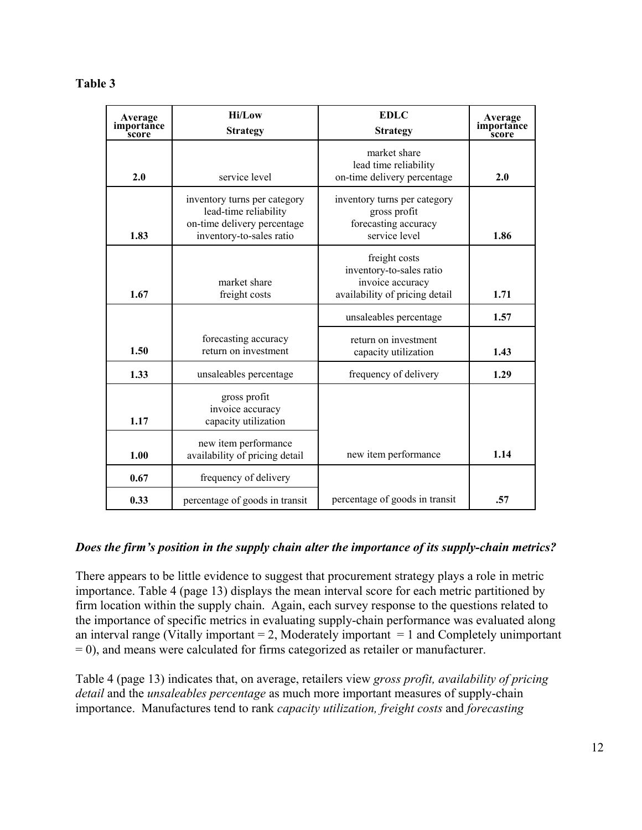#### **Table 3**

| Average<br>importance<br><b>score</b> | <b>Hi/Low</b><br><b>Strategy</b>                                                                                 | <b>EDLC</b><br><b>Strategy</b>                                                                  | Average<br>importance<br>score |
|---------------------------------------|------------------------------------------------------------------------------------------------------------------|-------------------------------------------------------------------------------------------------|--------------------------------|
| 2.0                                   | service level                                                                                                    | market share<br>lead time reliability<br>on-time delivery percentage                            | 2.0                            |
| 1.83                                  | inventory turns per category<br>lead-time reliability<br>on-time delivery percentage<br>inventory-to-sales ratio | inventory turns per category<br>gross profit<br>forecasting accuracy<br>service level           | 1.86                           |
| 1.67                                  | market share<br>freight costs                                                                                    | freight costs<br>inventory-to-sales ratio<br>invoice accuracy<br>availability of pricing detail | 1.71                           |
|                                       |                                                                                                                  | unsaleables percentage                                                                          | 1.57                           |
| 1.50                                  | forecasting accuracy<br>return on investment                                                                     | return on investment<br>capacity utilization                                                    | 1.43                           |
| 1.33                                  | unsaleables percentage                                                                                           | frequency of delivery                                                                           | 1.29                           |
| 1.17                                  | gross profit<br>invoice accuracy<br>capacity utilization                                                         |                                                                                                 |                                |
| 1.00                                  | new item performance<br>availability of pricing detail                                                           | new item performance                                                                            | 1.14                           |
| 0.67                                  | frequency of delivery                                                                                            |                                                                                                 |                                |
| 0.33                                  | percentage of goods in transit                                                                                   | percentage of goods in transit                                                                  | .57                            |

#### *Does the firm's position in the supply chain alter the importance of its supply-chain metrics?*

There appears to be little evidence to suggest that procurement strategy plays a role in metric importance. Table 4 (page 13) displays the mean interval score for each metric partitioned by firm location within the supply chain. Again, each survey response to the questions related to the importance of specific metrics in evaluating supply-chain performance was evaluated along an interval range (Vitally important  $= 2$ , Moderately important  $= 1$  and Completely unimportant = 0), and means were calculated for firms categorized as retailer or manufacturer.

Table 4 (page 13) indicates that, on average, retailers view *gross profit, availability of pricing detail* and the *unsaleables percentage* as much more important measures of supply-chain importance. Manufactures tend to rank *capacity utilization, freight costs* and *forecasting*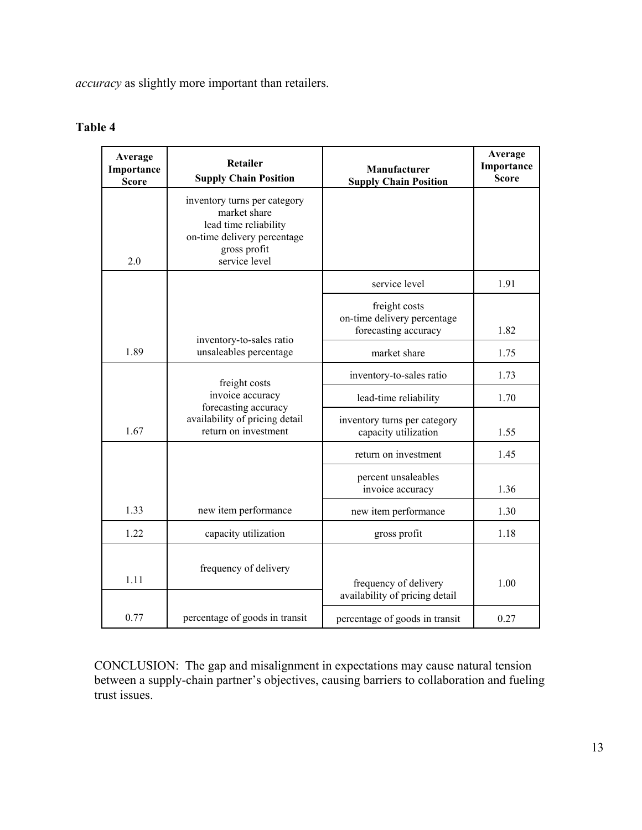*accuracy* as slightly more important than retailers.

| Average<br>Importance<br><b>Score</b> | Retailer<br><b>Supply Chain Position</b>                                                                                              | <b>Manufacturer</b><br><b>Supply Chain Position</b>                  | Average<br>Importance<br><b>Score</b> |
|---------------------------------------|---------------------------------------------------------------------------------------------------------------------------------------|----------------------------------------------------------------------|---------------------------------------|
| 2.0                                   | inventory turns per category<br>market share<br>lead time reliability<br>on-time delivery percentage<br>gross profit<br>service level |                                                                      |                                       |
|                                       |                                                                                                                                       | service level                                                        | 1.91                                  |
|                                       | inventory-to-sales ratio                                                                                                              | freight costs<br>on-time delivery percentage<br>forecasting accuracy | 1.82                                  |
| 1.89                                  | unsaleables percentage                                                                                                                | market share                                                         | 1.75                                  |
|                                       | freight costs                                                                                                                         | inventory-to-sales ratio                                             | 1.73                                  |
|                                       | invoice accuracy<br>forecasting accuracy                                                                                              | lead-time reliability                                                | 1.70                                  |
| 1.67                                  | availability of pricing detail<br>return on investment                                                                                | inventory turns per category<br>capacity utilization                 | 1.55                                  |
|                                       |                                                                                                                                       | return on investment                                                 | 1.45                                  |
|                                       |                                                                                                                                       | percent unsaleables<br>invoice accuracy                              | 1.36                                  |
| 1.33                                  | new item performance                                                                                                                  | new item performance                                                 | 1.30                                  |
| 1.22                                  | capacity utilization                                                                                                                  | gross profit                                                         | 1.18                                  |
| 1.11                                  | frequency of delivery                                                                                                                 | frequency of delivery<br>availability of pricing detail              | 1.00                                  |
| 0.77                                  | percentage of goods in transit                                                                                                        | percentage of goods in transit                                       | 0.27                                  |

#### **Table 4**

CONCLUSION: The gap and misalignment in expectations may cause natural tension between a supply-chain partner's objectives, causing barriers to collaboration and fueling trust issues.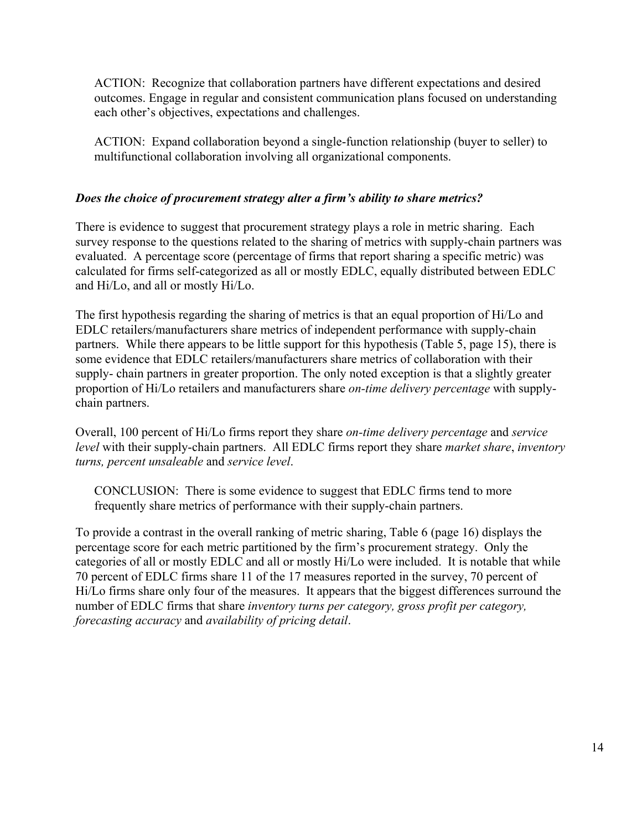ACTION: Recognize that collaboration partners have different expectations and desired outcomes. Engage in regular and consistent communication plans focused on understanding each other's objectives, expectations and challenges.

ACTION: Expand collaboration beyond a single-function relationship (buyer to seller) to multifunctional collaboration involving all organizational components.

### *Does the choice of procurement strategy alter a firm's ability to share metrics?*

There is evidence to suggest that procurement strategy plays a role in metric sharing. Each survey response to the questions related to the sharing of metrics with supply-chain partners was evaluated. A percentage score (percentage of firms that report sharing a specific metric) was calculated for firms self-categorized as all or mostly EDLC, equally distributed between EDLC and Hi/Lo, and all or mostly Hi/Lo.

The first hypothesis regarding the sharing of metrics is that an equal proportion of Hi/Lo and EDLC retailers/manufacturers share metrics of independent performance with supply-chain partners. While there appears to be little support for this hypothesis (Table 5, page 15), there is some evidence that EDLC retailers/manufacturers share metrics of collaboration with their supply- chain partners in greater proportion. The only noted exception is that a slightly greater proportion of Hi/Lo retailers and manufacturers share *on-time delivery percentage* with supplychain partners.

Overall, 100 percent of Hi/Lo firms report they share *on-time delivery percentage* and *service level* with their supply-chain partners. All EDLC firms report they share *market share*, *inventory turns, percent unsaleable* and *service level*.

CONCLUSION: There is some evidence to suggest that EDLC firms tend to more frequently share metrics of performance with their supply-chain partners.

To provide a contrast in the overall ranking of metric sharing, Table 6 (page 16) displays the percentage score for each metric partitioned by the firm's procurement strategy. Only the categories of all or mostly EDLC and all or mostly Hi/Lo were included. It is notable that while 70 percent of EDLC firms share 11 of the 17 measures reported in the survey, 70 percent of Hi/Lo firms share only four of the measures. It appears that the biggest differences surround the number of EDLC firms that share *inventory turns per category, gross profit per category, forecasting accuracy* and *availability of pricing detail*.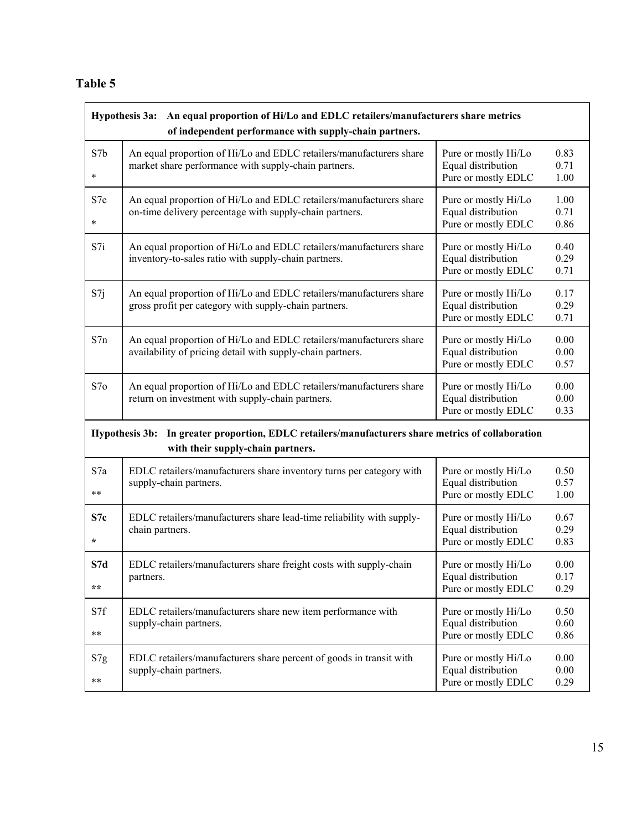### **Table 5**

| An equal proportion of Hi/Lo and EDLC retailers/manufacturers share metrics<br><b>Hypothesis 3a:</b><br>of independent performance with supply-chain partners. |                                                                                                                                        |                                                                   |                      |  |
|----------------------------------------------------------------------------------------------------------------------------------------------------------------|----------------------------------------------------------------------------------------------------------------------------------------|-------------------------------------------------------------------|----------------------|--|
| S7b<br>$\ast$                                                                                                                                                  | An equal proportion of Hi/Lo and EDLC retailers/manufacturers share<br>market share performance with supply-chain partners.            | Pure or mostly Hi/Lo<br>Equal distribution<br>Pure or mostly EDLC | 0.83<br>0.71<br>1.00 |  |
| S7e<br>$\ast$                                                                                                                                                  | An equal proportion of Hi/Lo and EDLC retailers/manufacturers share<br>on-time delivery percentage with supply-chain partners.         | Pure or mostly Hi/Lo<br>Equal distribution<br>Pure or mostly EDLC | 1.00<br>0.71<br>0.86 |  |
| S7i                                                                                                                                                            | An equal proportion of Hi/Lo and EDLC retailers/manufacturers share<br>inventory-to-sales ratio with supply-chain partners.            | Pure or mostly Hi/Lo<br>Equal distribution<br>Pure or mostly EDLC | 0.40<br>0.29<br>0.71 |  |
| S7j                                                                                                                                                            | An equal proportion of Hi/Lo and EDLC retailers/manufacturers share<br>gross profit per category with supply-chain partners.           | Pure or mostly Hi/Lo<br>Equal distribution<br>Pure or mostly EDLC | 0.17<br>0.29<br>0.71 |  |
| S7n                                                                                                                                                            | An equal proportion of Hi/Lo and EDLC retailers/manufacturers share<br>availability of pricing detail with supply-chain partners.      | Pure or mostly Hi/Lo<br>Equal distribution<br>Pure or mostly EDLC | 0.00<br>0.00<br>0.57 |  |
| S7o                                                                                                                                                            | An equal proportion of Hi/Lo and EDLC retailers/manufacturers share<br>return on investment with supply-chain partners.                | Pure or mostly Hi/Lo<br>Equal distribution<br>Pure or mostly EDLC | 0.00<br>0.00<br>0.33 |  |
|                                                                                                                                                                | Hypothesis 3b: In greater proportion, EDLC retailers/manufacturers share metrics of collaboration<br>with their supply-chain partners. |                                                                   |                      |  |
| S7a<br>$***$                                                                                                                                                   | EDLC retailers/manufacturers share inventory turns per category with<br>supply-chain partners.                                         | Pure or mostly Hi/Lo<br>Equal distribution<br>Pure or mostly EDLC | 0.50<br>0.57<br>1.00 |  |
| S7c<br>$\star$                                                                                                                                                 | EDLC retailers/manufacturers share lead-time reliability with supply-<br>chain partners.                                               | Pure or mostly Hi/Lo<br>Equal distribution<br>Pure or mostly EDLC | 0.67<br>0.29<br>0.83 |  |
| S7d<br>$\star \star$                                                                                                                                           | EDLC retailers/manufacturers share freight costs with supply-chain<br>partners.                                                        | Pure or mostly Hi/Lo<br>Equal distribution<br>Pure or mostly EDLC | 0.00<br>0.17<br>0.29 |  |
| S7f<br>$***$                                                                                                                                                   | EDLC retailers/manufacturers share new item performance with<br>supply-chain partners.                                                 | Pure or mostly Hi/Lo<br>Equal distribution<br>Pure or mostly EDLC | 0.50<br>0.60<br>0.86 |  |
| S7g<br>$***$                                                                                                                                                   | EDLC retailers/manufacturers share percent of goods in transit with<br>supply-chain partners.                                          | Pure or mostly Hi/Lo<br>Equal distribution<br>Pure or mostly EDLC | 0.00<br>0.00<br>0.29 |  |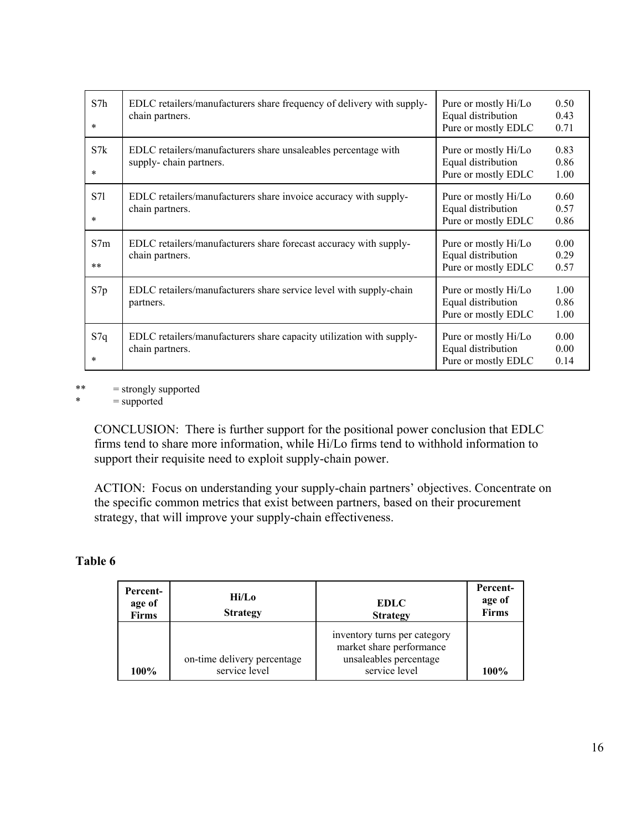| S7h<br>$\ast$ | EDLC retailers/manufacturers share frequency of delivery with supply-<br>chain partners. | Pure or mostly Hi/Lo<br>0.50<br>Equal distribution<br>0.43<br>Pure or mostly EDLC<br>0.71 |  |
|---------------|------------------------------------------------------------------------------------------|-------------------------------------------------------------------------------------------|--|
| S7k<br>$\ast$ | EDLC retailers/manufacturers share unsaleables percentage with<br>supply-chain partners. | 0.83<br>Pure or mostly Hi/Lo<br>Equal distribution<br>0.86<br>Pure or mostly EDLC<br>1.00 |  |
| S71<br>$\ast$ | EDLC retailers/manufacturers share invoice accuracy with supply-<br>chain partners.      | 0.60<br>Pure or mostly Hi/Lo<br>Equal distribution<br>0.57<br>Pure or mostly EDLC<br>0.86 |  |
| S7m<br>$**$   | EDLC retailers/manufacturers share forecast accuracy with supply-<br>chain partners.     | 0.00<br>Pure or mostly Hi/Lo<br>Equal distribution<br>0.29<br>Pure or mostly EDLC<br>0.57 |  |
| S7p           | EDLC retailers/manufacturers share service level with supply-chain<br>partners.          | 1.00<br>Pure or mostly Hi/Lo<br>Equal distribution<br>0.86<br>Pure or mostly EDLC<br>1.00 |  |
| S7q<br>$\ast$ | EDLC retailers/manufacturers share capacity utilization with supply-<br>chain partners.  | 0.00<br>Pure or mostly Hi/Lo<br>Equal distribution<br>0.00<br>Pure or mostly EDLC<br>0.14 |  |

\*\*  $=$  strongly supported<br>  $*$   $=$  supported

 $=$  supported

CONCLUSION: There is further support for the positional power conclusion that EDLC firms tend to share more information, while Hi/Lo firms tend to withhold information to support their requisite need to exploit supply-chain power.

ACTION: Focus on understanding your supply-chain partners' objectives. Concentrate on the specific common metrics that exist between partners, based on their procurement strategy, that will improve your supply-chain effectiveness.

### **Table 6**

| <b>Percent-</b><br>age of<br><b>Firms</b> | Hi/Lo<br><b>Strategy</b>                     | <b>EDLC</b><br><b>Strategy</b>                                                                      | Percent-<br>age of<br><b>Firms</b> |
|-------------------------------------------|----------------------------------------------|-----------------------------------------------------------------------------------------------------|------------------------------------|
| 100%                                      | on-time delivery percentage<br>service level | inventory turns per category<br>market share performance<br>unsaleables percentage<br>service level | 100%                               |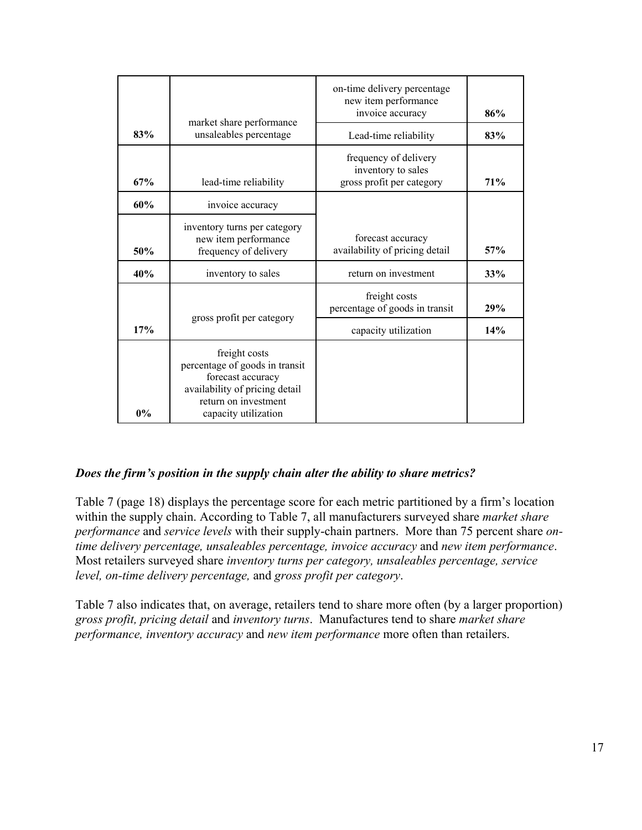|     |                                                                                                                                                        | on-time delivery percentage<br>new item performance<br>invoice accuracy  | 86% |
|-----|--------------------------------------------------------------------------------------------------------------------------------------------------------|--------------------------------------------------------------------------|-----|
| 83% | market share performance<br>unsaleables percentage                                                                                                     | Lead-time reliability                                                    | 83% |
| 67% | lead-time reliability                                                                                                                                  | frequency of delivery<br>inventory to sales<br>gross profit per category | 71% |
| 60% | invoice accuracy                                                                                                                                       |                                                                          |     |
| 50% | inventory turns per category<br>new item performance<br>frequency of delivery                                                                          | forecast accuracy<br>availability of pricing detail                      | 57% |
| 40% | inventory to sales                                                                                                                                     | return on investment                                                     | 33% |
|     | gross profit per category                                                                                                                              | freight costs<br>percentage of goods in transit                          | 29% |
| 17% |                                                                                                                                                        | capacity utilization                                                     | 14% |
| 0%  | freight costs<br>percentage of goods in transit<br>forecast accuracy<br>availability of pricing detail<br>return on investment<br>capacity utilization |                                                                          |     |

### *Does the firm's position in the supply chain alter the ability to share metrics?*

Table 7 (page 18) displays the percentage score for each metric partitioned by a firm's location within the supply chain. According to Table 7, all manufacturers surveyed share *market share performance* and *service levels* with their supply-chain partners. More than 75 percent share *ontime delivery percentage, unsaleables percentage, invoice accuracy* and *new item performance*. Most retailers surveyed share *inventory turns per category, unsaleables percentage, service level, on-time delivery percentage,* and *gross profit per category*.

Table 7 also indicates that, on average, retailers tend to share more often (by a larger proportion) *gross profit, pricing detail* and *inventory turns*. Manufactures tend to share *market share performance, inventory accuracy* and *new item performance* more often than retailers.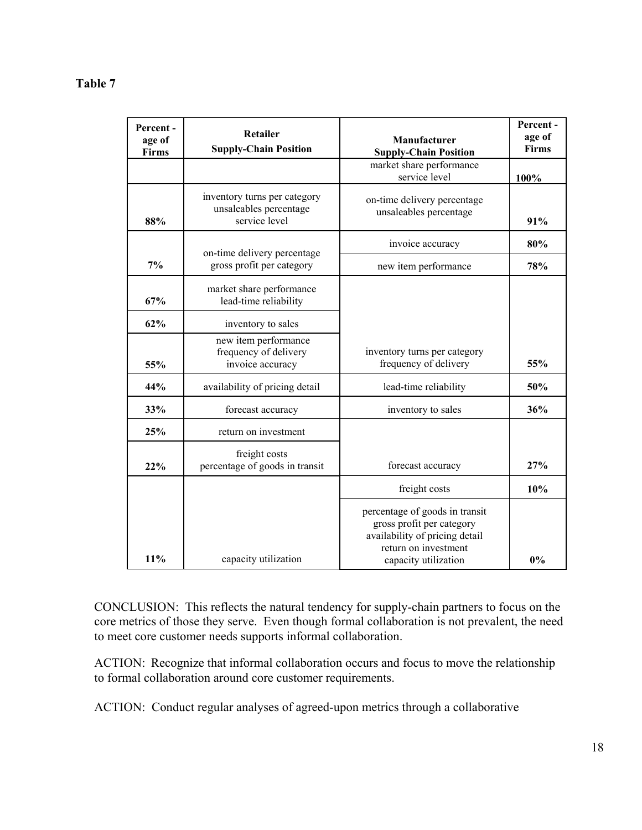#### **Table 7**

| Percent-<br>age of<br>Firms | Retailer<br><b>Supply-Chain Position</b>                                | Manufacturer<br><b>Supply-Chain Position</b>                                                                                                  | Percent-<br>age of<br>Firms |
|-----------------------------|-------------------------------------------------------------------------|-----------------------------------------------------------------------------------------------------------------------------------------------|-----------------------------|
|                             |                                                                         | market share performance<br>service level                                                                                                     | 100%                        |
| 88%                         | inventory turns per category<br>unsaleables percentage<br>service level | on-time delivery percentage<br>unsaleables percentage                                                                                         | 91%                         |
|                             | on-time delivery percentage                                             | invoice accuracy                                                                                                                              | 80%                         |
| 7%                          | gross profit per category                                               | new item performance                                                                                                                          | 78%                         |
| 67%                         | market share performance<br>lead-time reliability                       |                                                                                                                                               |                             |
| 62%                         | inventory to sales                                                      |                                                                                                                                               |                             |
| 55%                         | new item performance<br>frequency of delivery<br>invoice accuracy       | inventory turns per category<br>frequency of delivery                                                                                         | 55%                         |
| 44%                         | availability of pricing detail                                          | lead-time reliability                                                                                                                         | 50%                         |
| 33%                         | forecast accuracy                                                       | inventory to sales                                                                                                                            | 36%                         |
| 25%                         | return on investment                                                    |                                                                                                                                               |                             |
| 22%                         | freight costs<br>percentage of goods in transit                         | forecast accuracy                                                                                                                             | 27%                         |
|                             |                                                                         | freight costs                                                                                                                                 | 10%                         |
| 11%                         | capacity utilization                                                    | percentage of goods in transit<br>gross profit per category<br>availability of pricing detail<br>return on investment<br>capacity utilization | 0%                          |

CONCLUSION: This reflects the natural tendency for supply-chain partners to focus on the core metrics of those they serve. Even though formal collaboration is not prevalent, the need to meet core customer needs supports informal collaboration.

ACTION: Recognize that informal collaboration occurs and focus to move the relationship to formal collaboration around core customer requirements.

ACTION: Conduct regular analyses of agreed-upon metrics through a collaborative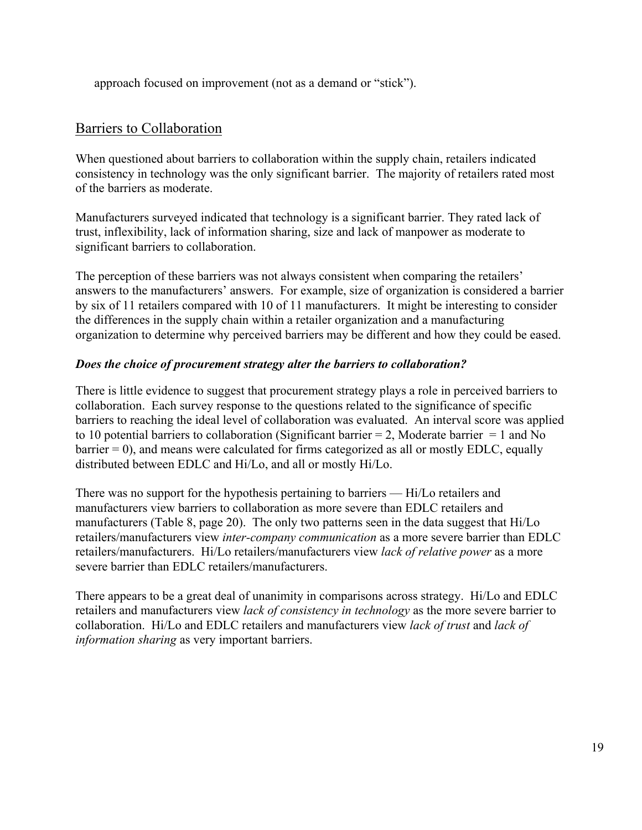approach focused on improvement (not as a demand or "stick").

# Barriers to Collaboration

When questioned about barriers to collaboration within the supply chain, retailers indicated consistency in technology was the only significant barrier. The majority of retailers rated most of the barriers as moderate.

Manufacturers surveyed indicated that technology is a significant barrier. They rated lack of trust, inflexibility, lack of information sharing, size and lack of manpower as moderate to significant barriers to collaboration.

The perception of these barriers was not always consistent when comparing the retailers' answers to the manufacturers' answers. For example, size of organization is considered a barrier by six of 11 retailers compared with 10 of 11 manufacturers. It might be interesting to consider the differences in the supply chain within a retailer organization and a manufacturing organization to determine why perceived barriers may be different and how they could be eased.

### *Does the choice of procurement strategy alter the barriers to collaboration?*

There is little evidence to suggest that procurement strategy plays a role in perceived barriers to collaboration. Each survey response to the questions related to the significance of specific barriers to reaching the ideal level of collaboration was evaluated. An interval score was applied to 10 potential barriers to collaboration (Significant barrier = 2, Moderate barrier = 1 and No barrier = 0), and means were calculated for firms categorized as all or mostly EDLC, equally distributed between EDLC and Hi/Lo, and all or mostly Hi/Lo.

There was no support for the hypothesis pertaining to barriers — Hi/Lo retailers and manufacturers view barriers to collaboration as more severe than EDLC retailers and manufacturers (Table 8, page 20). The only two patterns seen in the data suggest that Hi/Lo retailers/manufacturers view *inter-company communication* as a more severe barrier than EDLC retailers/manufacturers. Hi/Lo retailers/manufacturers view *lack of relative power* as a more severe barrier than EDLC retailers/manufacturers.

There appears to be a great deal of unanimity in comparisons across strategy. Hi/Lo and EDLC retailers and manufacturers view *lack of consistency in technology* as the more severe barrier to collaboration. Hi/Lo and EDLC retailers and manufacturers view *lack of trust* and *lack of information sharing* as very important barriers.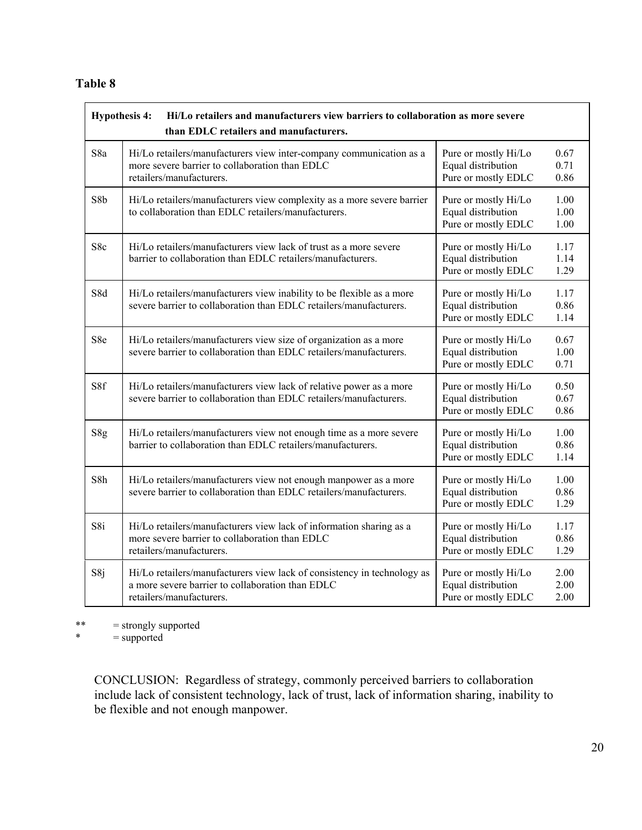#### **Table 8**

|     | <b>Hypothesis 4:</b><br>Hi/Lo retailers and manufacturers view barriers to collaboration as more severe<br>than EDLC retailers and manufacturers.       |                                                                   |                      |  |  |
|-----|---------------------------------------------------------------------------------------------------------------------------------------------------------|-------------------------------------------------------------------|----------------------|--|--|
| S8a | Hi/Lo retailers/manufacturers view inter-company communication as a<br>more severe barrier to collaboration than EDLC<br>retailers/manufacturers.       | Pure or mostly Hi/Lo<br>Equal distribution<br>Pure or mostly EDLC | 0.67<br>0.71<br>0.86 |  |  |
| S8b | Hi/Lo retailers/manufacturers view complexity as a more severe barrier<br>to collaboration than EDLC retailers/manufacturers.                           | Pure or mostly Hi/Lo<br>Equal distribution<br>Pure or mostly EDLC | 1.00<br>1.00<br>1.00 |  |  |
| S8c | Hi/Lo retailers/manufacturers view lack of trust as a more severe<br>barrier to collaboration than EDLC retailers/manufacturers.                        | Pure or mostly Hi/Lo<br>Equal distribution<br>Pure or mostly EDLC | 1.17<br>1.14<br>1.29 |  |  |
| S8d | Hi/Lo retailers/manufacturers view inability to be flexible as a more<br>severe barrier to collaboration than EDLC retailers/manufacturers.             | Pure or mostly Hi/Lo<br>Equal distribution<br>Pure or mostly EDLC | 1.17<br>0.86<br>1.14 |  |  |
| S8e | Hi/Lo retailers/manufacturers view size of organization as a more<br>severe barrier to collaboration than EDLC retailers/manufacturers.                 | Pure or mostly Hi/Lo<br>Equal distribution<br>Pure or mostly EDLC | 0.67<br>1.00<br>0.71 |  |  |
| S8f | Hi/Lo retailers/manufacturers view lack of relative power as a more<br>severe barrier to collaboration than EDLC retailers/manufacturers.               | Pure or mostly Hi/Lo<br>Equal distribution<br>Pure or mostly EDLC | 0.50<br>0.67<br>0.86 |  |  |
| S8g | Hi/Lo retailers/manufacturers view not enough time as a more severe<br>barrier to collaboration than EDLC retailers/manufacturers.                      | Pure or mostly Hi/Lo<br>Equal distribution<br>Pure or mostly EDLC | 1.00<br>0.86<br>1.14 |  |  |
| S8h | Hi/Lo retailers/manufacturers view not enough manpower as a more<br>severe barrier to collaboration than EDLC retailers/manufacturers.                  | Pure or mostly Hi/Lo<br>Equal distribution<br>Pure or mostly EDLC | 1.00<br>0.86<br>1.29 |  |  |
| S8i | Hi/Lo retailers/manufacturers view lack of information sharing as a<br>more severe barrier to collaboration than EDLC<br>retailers/manufacturers.       | Pure or mostly Hi/Lo<br>Equal distribution<br>Pure or mostly EDLC | 1.17<br>0.86<br>1.29 |  |  |
| S8j | Hi/Lo retailers/manufacturers view lack of consistency in technology as<br>a more severe barrier to collaboration than EDLC<br>retailers/manufacturers. | Pure or mostly Hi/Lo<br>Equal distribution<br>Pure or mostly EDLC | 2.00<br>2.00<br>2.00 |  |  |

\*\*  $=$  strongly supported<br>  $*$   $=$  supported

 $=$  supported

CONCLUSION: Regardless of strategy, commonly perceived barriers to collaboration include lack of consistent technology, lack of trust, lack of information sharing, inability to be flexible and not enough manpower.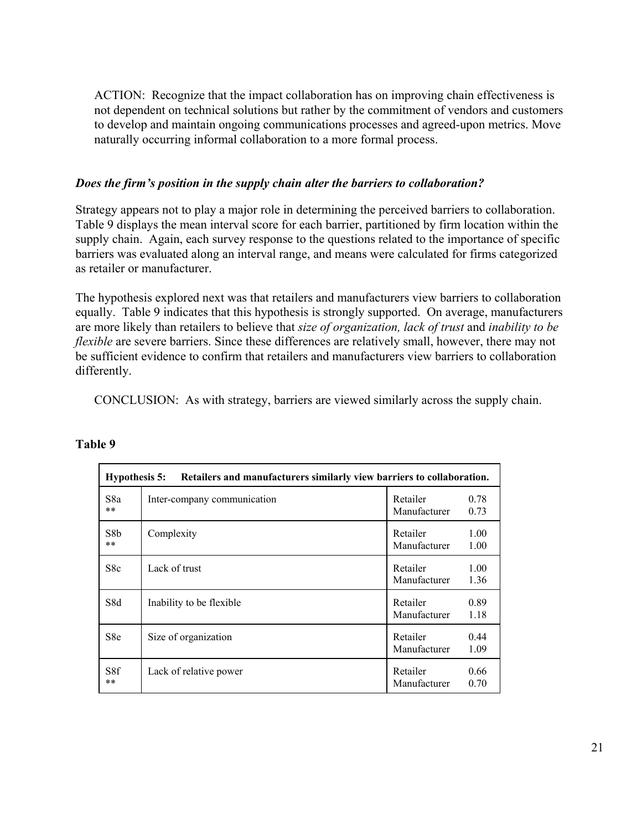ACTION: Recognize that the impact collaboration has on improving chain effectiveness is not dependent on technical solutions but rather by the commitment of vendors and customers to develop and maintain ongoing communications processes and agreed-upon metrics. Move naturally occurring informal collaboration to a more formal process.

#### *Does the firm's position in the supply chain alter the barriers to collaboration?*

Strategy appears not to play a major role in determining the perceived barriers to collaboration. Table 9 displays the mean interval score for each barrier, partitioned by firm location within the supply chain. Again, each survey response to the questions related to the importance of specific barriers was evaluated along an interval range, and means were calculated for firms categorized as retailer or manufacturer.

The hypothesis explored next was that retailers and manufacturers view barriers to collaboration equally. Table 9 indicates that this hypothesis is strongly supported. On average, manufacturers are more likely than retailers to believe that *size of organization, lack of trust* and *inability to be flexible* are severe barriers. Since these differences are relatively small, however, there may not be sufficient evidence to confirm that retailers and manufacturers view barriers to collaboration differently.

CONCLUSION: As with strategy, barriers are viewed similarly across the supply chain.

| <b>Hypothesis 5:</b><br>Retailers and manufacturers similarly view barriers to collaboration. |                             |                          |              |
|-----------------------------------------------------------------------------------------------|-----------------------------|--------------------------|--------------|
| S8a<br>**                                                                                     | Inter-company communication | Retailer<br>Manufacturer | 0.78<br>0.73 |
| S8 <sub>b</sub><br>**                                                                         | Complexity                  | Retailer<br>Manufacturer | 1.00<br>1.00 |
| S8c                                                                                           | Lack of trust               | Retailer<br>Manufacturer | 1.00<br>1.36 |
| S8d                                                                                           | Inability to be flexible    | Retailer<br>Manufacturer | 0.89<br>1.18 |
| S8e                                                                                           | Size of organization        | Retailer<br>Manufacturer | 0.44<br>1.09 |
| S8f<br>**                                                                                     | Lack of relative power      | Retailer<br>Manufacturer | 0.66<br>0.70 |

#### **Table 9**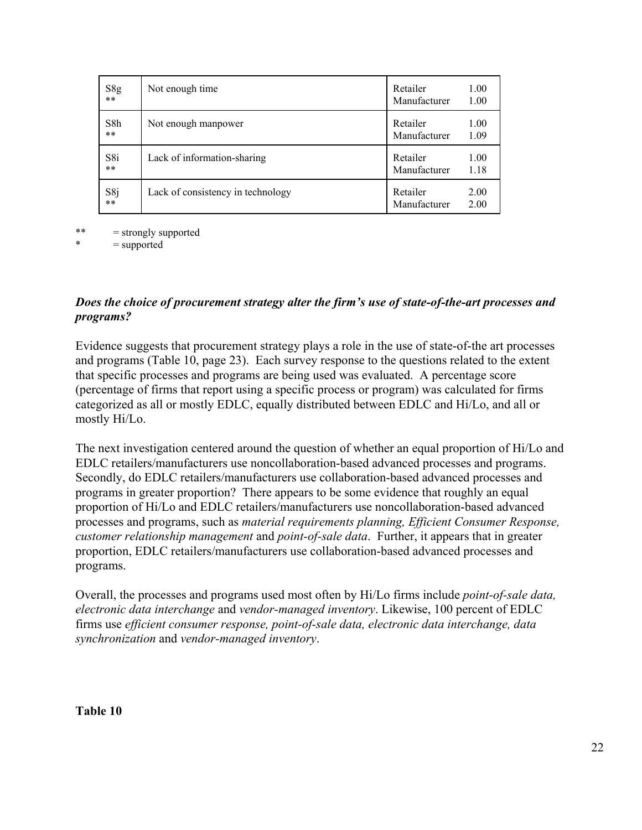| S8g   | Not enough time                   | Retailer     | 1.00 |
|-------|-----------------------------------|--------------|------|
| $***$ |                                   | Manufacturer | 1.00 |
| S8h   | Not enough manpower               | Retailer     | 1.00 |
| $***$ |                                   | Manufacturer | 1.09 |
| S8i   | Lack of information-sharing       | Retailer     | 1.00 |
| $***$ |                                   | Manufacturer | 1.18 |
| S8j   | Lack of consistency in technology | Retailer     | 2.00 |
| $***$ |                                   | Manufacturer | 2.00 |

\*\* = strongly supported

 $=$  supported

### *Does the choice of procurement strategy alter the firm's use of state-of-the-art processes and programs?*

Evidence suggests that procurement strategy plays a role in the use of state-of-the art processes and programs (Table 10, page 23). Each survey response to the questions related to the extent that specific processes and programs are being used was evaluated. A percentage score (percentage of firms that report using a specific process or program) was calculated for firms categorized as all or mostly EDLC, equally distributed between EDLC and Hi/Lo, and all or mostly Hi/Lo.

The next investigation centered around the question of whether an equal proportion of Hi/Lo and EDLC retailers/manufacturers use noncollaboration-based advanced processes and programs. Secondly, do EDLC retailers/manufacturers use collaboration-based advanced processes and programs in greater proportion? There appears to be some evidence that roughly an equal proportion of Hi/Lo and EDLC retailers/manufacturers use noncollaboration-based advanced processes and programs, such as *material requirements planning, Efficient Consumer Response, customer relationship management* and *point-of-sale data*. Further, it appears that in greater proportion, EDLC retailers/manufacturers use collaboration-based advanced processes and programs.

Overall, the processes and programs used most often by Hi/Lo firms include *point-of-sale data, electronic data interchange* and *vendor-managed inventory*. Likewise, 100 percent of EDLC firms use *efficient consumer response, point-of-sale data, electronic data interchange, data synchronization* and *vendor-managed inventory*.

#### **Table 10**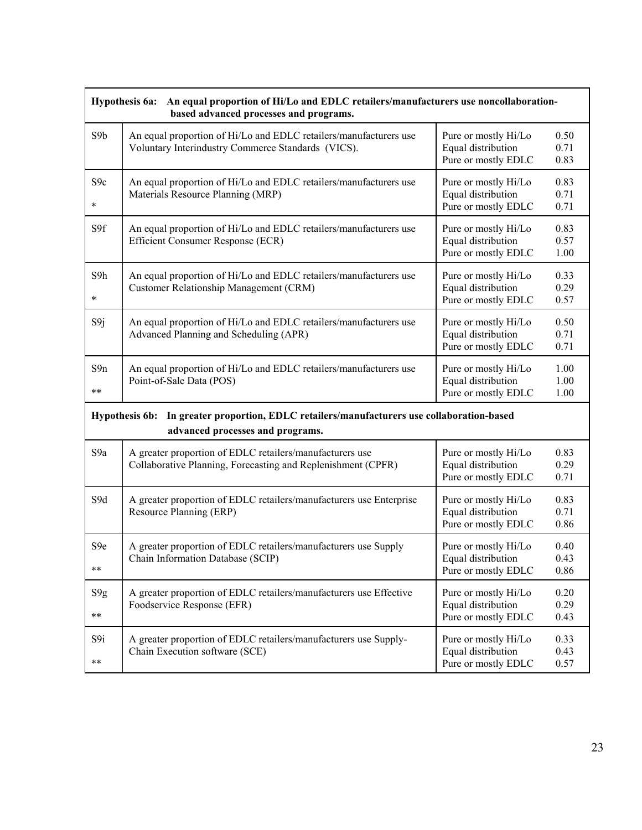| Hypothesis 6a: An equal proportion of Hi/Lo and EDLC retailers/manufacturers use noncollaboration-<br>based advanced processes and programs. |                                                                                                                                                                    |                                                                   |                      |
|----------------------------------------------------------------------------------------------------------------------------------------------|--------------------------------------------------------------------------------------------------------------------------------------------------------------------|-------------------------------------------------------------------|----------------------|
| S9b                                                                                                                                          | An equal proportion of Hi/Lo and EDLC retailers/manufacturers use<br>Voluntary Interindustry Commerce Standards (VICS).                                            | Pure or mostly Hi/Lo<br>Equal distribution<br>Pure or mostly EDLC | 0.50<br>0.71<br>0.83 |
| S9c<br>$\ast$                                                                                                                                | An equal proportion of Hi/Lo and EDLC retailers/manufacturers use<br>Materials Resource Planning (MRP)                                                             | Pure or mostly Hi/Lo<br>Equal distribution<br>Pure or mostly EDLC | 0.83<br>0.71<br>0.71 |
| S9f                                                                                                                                          | An equal proportion of Hi/Lo and EDLC retailers/manufacturers use<br>Efficient Consumer Response (ECR)                                                             | Pure or mostly Hi/Lo<br>Equal distribution<br>Pure or mostly EDLC | 0.83<br>0.57<br>1.00 |
| S9h<br>$\ast$                                                                                                                                | An equal proportion of Hi/Lo and EDLC retailers/manufacturers use<br>Customer Relationship Management (CRM)                                                        | Pure or mostly Hi/Lo<br>Equal distribution<br>Pure or mostly EDLC | 0.33<br>0.29<br>0.57 |
| S9j                                                                                                                                          | An equal proportion of Hi/Lo and EDLC retailers/manufacturers use<br>Advanced Planning and Scheduling (APR)                                                        | Pure or mostly Hi/Lo<br>Equal distribution<br>Pure or mostly EDLC | 0.50<br>0.71<br>0.71 |
| S9n<br>$***$                                                                                                                                 | An equal proportion of Hi/Lo and EDLC retailers/manufacturers use<br>Pure or mostly Hi/Lo<br>Equal distribution<br>Point-of-Sale Data (POS)<br>Pure or mostly EDLC |                                                                   | 1.00<br>1.00<br>1.00 |
| In greater proportion, EDLC retailers/manufacturers use collaboration-based<br><b>Hypothesis 6b:</b><br>advanced processes and programs.     |                                                                                                                                                                    |                                                                   |                      |
| S <sub>9</sub> a                                                                                                                             | A greater proportion of EDLC retailers/manufacturers use<br>Collaborative Planning, Forecasting and Replenishment (CPFR)                                           | Pure or mostly Hi/Lo<br>Equal distribution<br>Pure or mostly EDLC | 0.83<br>0.29<br>0.71 |
| S9d                                                                                                                                          | A greater proportion of EDLC retailers/manufacturers use Enterprise<br>Resource Planning (ERP)                                                                     | Pure or mostly Hi/Lo<br>Equal distribution<br>Pure or mostly EDLC | 0.83<br>0.71<br>0.86 |
| S <sub>9e</sub><br>$***$                                                                                                                     | A greater proportion of EDLC retailers/manufacturers use Supply<br>Chain Information Database (SCIP)                                                               | Pure or mostly Hi/Lo<br>Equal distribution<br>Pure or mostly EDLC | 0.40<br>0.43<br>0.86 |
| S9g<br>$***$                                                                                                                                 | A greater proportion of EDLC retailers/manufacturers use Effective<br>Foodservice Response (EFR)                                                                   | Pure or mostly Hi/Lo<br>Equal distribution<br>Pure or mostly EDLC | 0.20<br>0.29<br>0.43 |
| S9i<br>$***$                                                                                                                                 | A greater proportion of EDLC retailers/manufacturers use Supply-<br>Chain Execution software (SCE)                                                                 | Pure or mostly Hi/Lo<br>Equal distribution<br>Pure or mostly EDLC | 0.33<br>0.43<br>0.57 |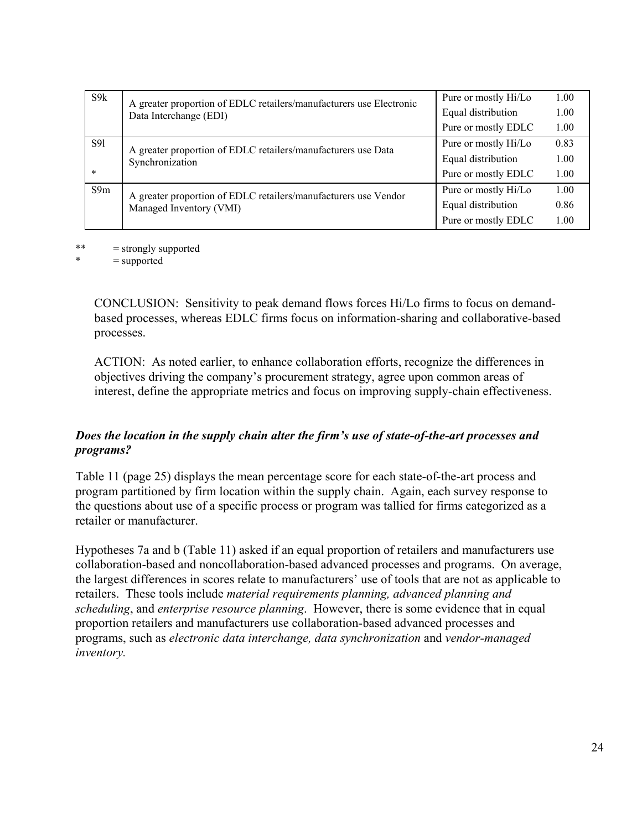| S9k        | A greater proportion of EDLC retailers/manufacturers use Electronic<br>Data Interchange (EDI) | Pure or mostly Hi/Lo | 1.00 |
|------------|-----------------------------------------------------------------------------------------------|----------------------|------|
|            |                                                                                               | Equal distribution   | 1.00 |
|            |                                                                                               | Pure or mostly EDLC  | 1.00 |
| <b>S91</b> | A greater proportion of EDLC retailers/manufacturers use Data<br>Synchronization              | Pure or mostly Hi/Lo | 0.83 |
|            |                                                                                               | Equal distribution   | 1.00 |
| $\ast$     |                                                                                               | Pure or mostly EDLC  | 1.00 |
| S9m        | A greater proportion of EDLC retailers/manufacturers use Vendor<br>Managed Inventory (VMI)    | Pure or mostly Hi/Lo | 1.00 |
|            |                                                                                               | Equal distribution   | 0.86 |
|            |                                                                                               | Pure or mostly EDLC  | 1.00 |
|            |                                                                                               |                      |      |

\*\*  $=$  strongly supported<br> $*$   $=$  supported

 $=$  supported

CONCLUSION: Sensitivity to peak demand flows forces Hi/Lo firms to focus on demandbased processes, whereas EDLC firms focus on information-sharing and collaborative-based processes.

ACTION: As noted earlier, to enhance collaboration efforts, recognize the differences in objectives driving the company's procurement strategy, agree upon common areas of interest, define the appropriate metrics and focus on improving supply-chain effectiveness.

### *Does the location in the supply chain alter the firm's use of state-of-the-art processes and programs?*

Table 11 (page 25) displays the mean percentage score for each state-of-the-art process and program partitioned by firm location within the supply chain. Again, each survey response to the questions about use of a specific process or program was tallied for firms categorized as a retailer or manufacturer.

Hypotheses 7a and b (Table 11) asked if an equal proportion of retailers and manufacturers use collaboration-based and noncollaboration-based advanced processes and programs. On average, the largest differences in scores relate to manufacturers' use of tools that are not as applicable to retailers. These tools include *material requirements planning, advanced planning and scheduling*, and *enterprise resource planning*. However, there is some evidence that in equal proportion retailers and manufacturers use collaboration-based advanced processes and programs, such as *electronic data interchange, data synchronization* and *vendor-managed inventory.*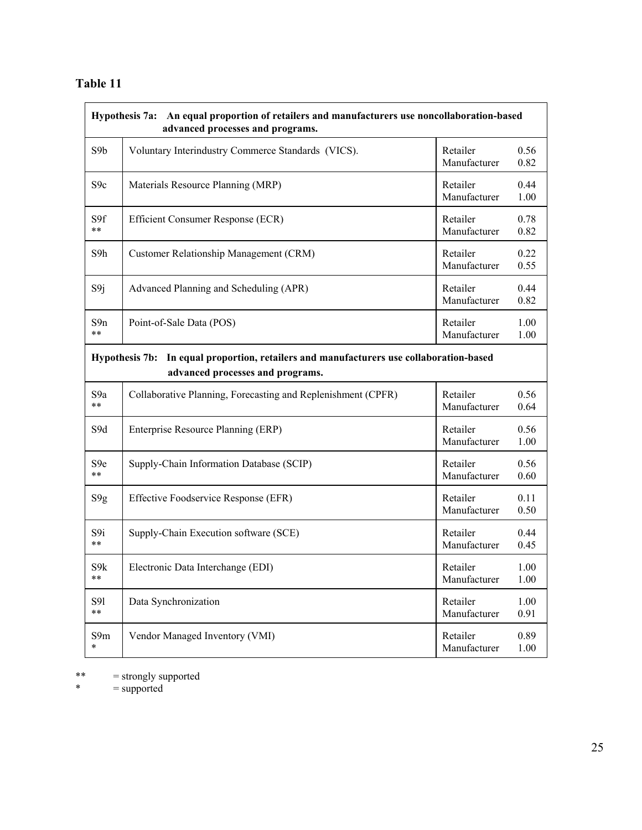## **Table 11**

| Hypothesis 7a: An equal proportion of retailers and manufacturers use noncollaboration-based<br>advanced processes and programs.      |                                                              |                          |              |
|---------------------------------------------------------------------------------------------------------------------------------------|--------------------------------------------------------------|--------------------------|--------------|
| S9b                                                                                                                                   | Voluntary Interindustry Commerce Standards (VICS).           | Retailer<br>Manufacturer | 0.56<br>0.82 |
| S <sub>9c</sub>                                                                                                                       | Materials Resource Planning (MRP)                            | Retailer<br>Manufacturer | 0.44<br>1.00 |
| S9f                                                                                                                                   | Efficient Consumer Response (ECR)                            | Retailer                 | 0.78         |
| $***$                                                                                                                                 |                                                              | Manufacturer             | 0.82         |
| S9h                                                                                                                                   | Customer Relationship Management (CRM)                       | Retailer<br>Manufacturer | 0.22<br>0.55 |
| S9j                                                                                                                                   | Advanced Planning and Scheduling (APR)                       | Retailer<br>Manufacturer | 0.44<br>0.82 |
| S9n                                                                                                                                   | Point-of-Sale Data (POS)                                     | Retailer                 | 1.00         |
| $***$                                                                                                                                 |                                                              | Manufacturer             | 1.00         |
| In equal proportion, retailers and manufacturers use collaboration-based<br><b>Hypothesis 7b:</b><br>advanced processes and programs. |                                                              |                          |              |
| S <sub>9</sub> a                                                                                                                      | Collaborative Planning, Forecasting and Replenishment (CPFR) | Retailer                 | 0.56         |
| **                                                                                                                                    |                                                              | Manufacturer             | 0.64         |
| S9d                                                                                                                                   | Enterprise Resource Planning (ERP)                           | Retailer<br>Manufacturer | 0.56<br>1.00 |
| S <sub>9e</sub>                                                                                                                       | Supply-Chain Information Database (SCIP)                     | Retailer                 | 0.56         |
| $***$                                                                                                                                 |                                                              | Manufacturer             | 0.60         |
| S9g                                                                                                                                   | Effective Foodservice Response (EFR)                         | Retailer<br>Manufacturer | 0.11<br>0.50 |
| S9i                                                                                                                                   | Supply-Chain Execution software (SCE)                        | Retailer                 | 0.44         |
| $***$                                                                                                                                 |                                                              | Manufacturer             | 0.45         |
| S9k                                                                                                                                   | Electronic Data Interchange (EDI)                            | Retailer                 | 1.00         |
| **                                                                                                                                    |                                                              | Manufacturer             | 1.00         |
| S91                                                                                                                                   | Data Synchronization                                         | Retailer                 | 1.00         |
| $\ast\ast$                                                                                                                            |                                                              | Manufacturer             | 0.91         |
| S9m                                                                                                                                   | Vendor Managed Inventory (VMI)                               | Retailer                 | 0.89         |
| $\ast$                                                                                                                                |                                                              | Manufacturer             | 1.00         |

\*\* = strongly supported

\* = supported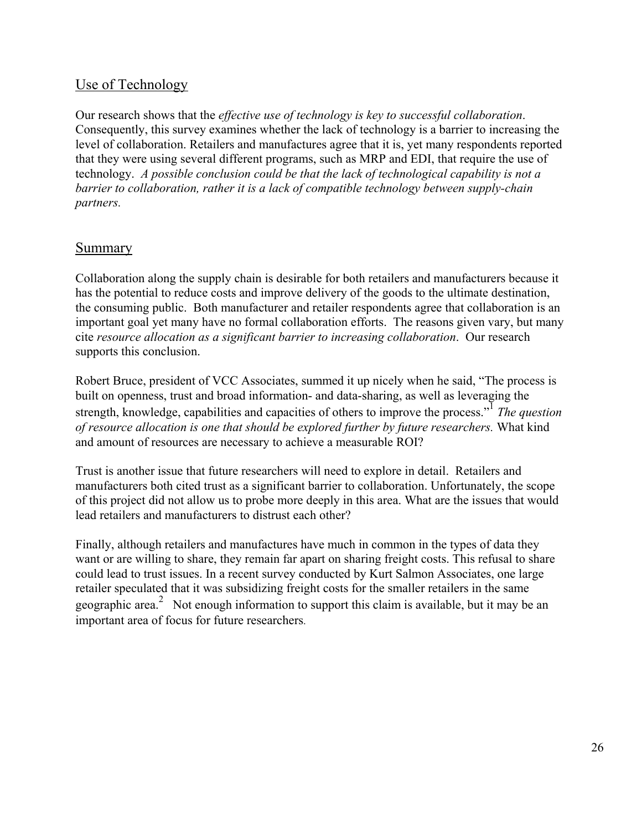## Use of Technology

Our research shows that the *effective use of technology is key to successful collaboration*. Consequently, this survey examines whether the lack of technology is a barrier to increasing the level of collaboration. Retailers and manufactures agree that it is, yet many respondents reported that they were using several different programs, such as MRP and EDI, that require the use of technology. *A possible conclusion could be that the lack of technological capability is not a barrier to collaboration, rather it is a lack of compatible technology between supply-chain partners.*

### **Summary**

Collaboration along the supply chain is desirable for both retailers and manufacturers because it has the potential to reduce costs and improve delivery of the goods to the ultimate destination, the consuming public. Both manufacturer and retailer respondents agree that collaboration is an important goal yet many have no formal collaboration efforts. The reasons given vary, but many cite *resource allocation as a significant barrier to increasing collaboration*. Our research supports this conclusion.

Robert Bruce, president of VCC Associates, summed it up nicely when he said, "The process is built on openness, trust and broad information- and data-sharing, as well as leveraging the strength, knowledge, capabilities and capacities of others to improve the process."<sup>1</sup> *The question of resource allocation is one that should be explored further by future researchers.* What kind and amount of resources are necessary to achieve a measurable ROI?

Trust is another issue that future researchers will need to explore in detail. Retailers and manufacturers both cited trust as a significant barrier to collaboration. Unfortunately, the scope of this project did not allow us to probe more deeply in this area. What are the issues that would lead retailers and manufacturers to distrust each other?

Finally, although retailers and manufactures have much in common in the types of data they want or are willing to share, they remain far apart on sharing freight costs. This refusal to share could lead to trust issues. In a recent survey conducted by Kurt Salmon Associates, one large retailer speculated that it was subsidizing freight costs for the smaller retailers in the same geographic area.<sup>2</sup> Not enough information to support this claim is available, but it may be an important area of focus for future researchers.